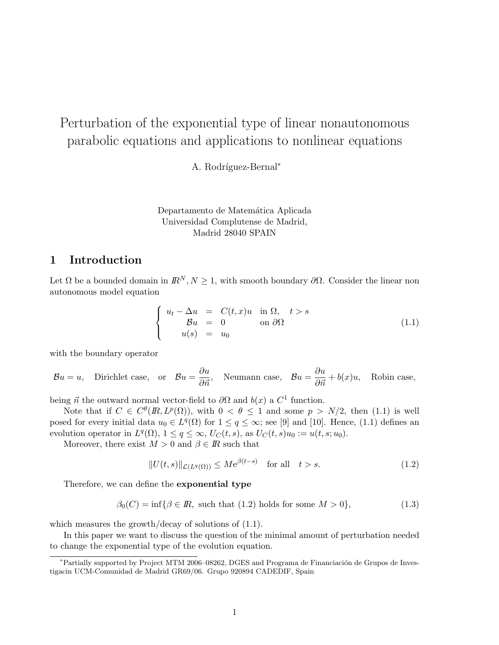# Perturbation of the exponential type of linear nonautonomous parabolic equations and applications to nonlinear equations

A. Rodríguez-Bernal<sup>∗</sup>

Departamento de Matemática Aplicada Universidad Complutense de Madrid, Madrid 28040 SPAIN

# 1 Introduction

Let  $\Omega$  be a bounded domain in  $\mathbb{R}^N$ ,  $N \geq 1$ , with smooth boundary  $\partial \Omega$ . Consider the linear non autonomous model equation

$$
\begin{cases}\n u_t - \Delta u = C(t, x)u \quad \text{in } \Omega, \quad t > s \\
 \mathcal{B}u = 0 \quad \text{on } \partial\Omega\n\end{cases}
$$
\n(1.1)

with the boundary operator

 $\mathcal{B}u = u$ , Dirichlet case, or  $\mathcal{B}u = \frac{\partial u}{\partial \vec{n}}$ , Neumann case,  $\mathcal{B}u = \frac{\partial u}{\partial \vec{n}} + b(x)u$ , Robin case,

being  $\vec{n}$  the outward normal vector-field to  $\partial\Omega$  and  $b(x)$  a  $C^1$  function.

Note that if  $C \in C^{\theta}(\mathbb{R}, L^p(\Omega))$ , with  $0 < \theta \leq 1$  and some  $p > N/2$ , then (1.1) is well posed for every initial data  $u_0 \in L^q(\Omega)$  for  $1 \leq q \leq \infty$ ; see [9] and [10]. Hence, (1.1) defines an evolution operator in  $L^q(\Omega)$ ,  $1 \leq q \leq \infty$ ,  $U_C(t, s)$ , as  $U_C(t, s)u_0 := u(t, s; u_0)$ .

Moreover, there exist  $M > 0$  and  $\beta \in \mathbb{R}$  such that

$$
||U(t,s)||_{\mathcal{L}(L^q(\Omega))} \le Me^{\beta(t-s)} \quad \text{for all} \quad t > s. \tag{1.2}
$$

Therefore, we can define the exponential type

$$
\beta_0(C) = \inf \{ \beta \in \mathbb{R}, \text{ such that } (1.2) \text{ holds for some } M > 0 \},\tag{1.3}
$$

which measures the growth/decay of solutions of  $(1.1)$ .

In this paper we want to discuss the question of the minimal amount of perturbation needed to change the exponential type of the evolution equation.

<sup>\*</sup>Partially supported by Project MTM 2006–08262, DGES and Programa de Financiación de Grupos de Investigacin UCM-Comunidad de Madrid GR69/06. Grupo 920894 CADEDIF, Spain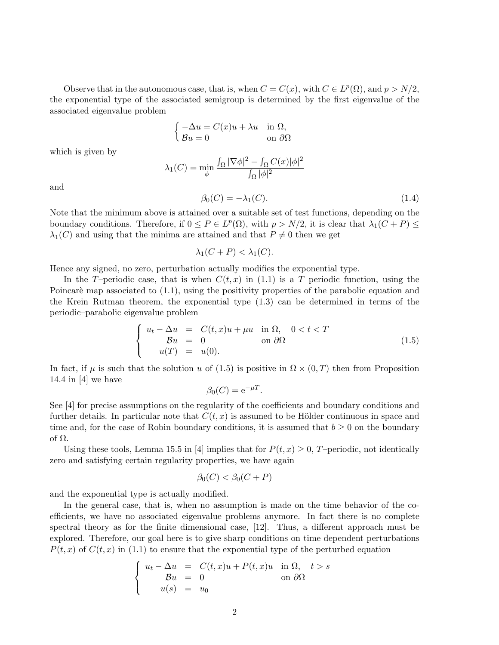Observe that in the autonomous case, that is, when  $C = C(x)$ , with  $C \in L^p(\Omega)$ , and  $p > N/2$ , the exponential type of the associated semigroup is determined by the first eigenvalue of the associated eigenvalue problem

$$
\begin{cases}\n-\Delta u = C(x)u + \lambda u & \text{in } \Omega, \\
B u = 0 & \text{on } \partial\Omega\n\end{cases}
$$

which is given by

$$
\lambda_1(C) = \min_{\phi} \frac{\int_{\Omega} |\nabla \phi|^2 - \int_{\Omega} C(x) |\phi|^2}{\int_{\Omega} |\phi|^2}
$$
\n
$$
\beta_2(C) = -\lambda_1(C) \tag{1.4}
$$

and

$$
\beta_0(C) = -\lambda_1(C). \tag{1.4}
$$

Note that the minimum above is attained over a suitable set of test functions, depending on the boundary conditions. Therefore, if  $0 \le P \in L^p(\Omega)$ , with  $p > N/2$ , it is clear that  $\lambda_1(C+P) \le$  $\lambda_1(C)$  and using that the minima are attained and that  $P \neq 0$  then we get

$$
\lambda_1(C+P) < \lambda_1(C).
$$

Hence any signed, no zero, perturbation actually modifies the exponential type.

In the T–periodic case, that is when  $C(t, x)$  in (1.1) is a T periodic function, using the Poincaré map associated to  $(1.1)$ , using the positivity properties of the parabolic equation and the Krein–Rutman theorem, the exponential type (1.3) can be determined in terms of the periodic–parabolic eigenvalue problem

$$
\begin{cases}\n u_t - \Delta u = C(t, x)u + \mu u \quad \text{in } \Omega, \quad 0 < t < T \\
 \mathcal{B}u = 0 \quad \text{on } \partial\Omega\n\end{cases}
$$
\n(1.5)

In fact, if  $\mu$  is such that the solution u of (1.5) is positive in  $\Omega \times (0,T)$  then from Proposition 14.4 in [4] we have

$$
\beta_0(C) = e^{-\mu T}.
$$

See [4] for precise assumptions on the regularity of the coefficients and boundary conditions and further details. In particular note that  $C(t, x)$  is assumed to be Hölder continuous in space and time and, for the case of Robin boundary conditions, it is assumed that  $b \geq 0$  on the boundary of Ω.

Using these tools, Lemma 15.5 in [4] implies that for  $P(t, x) \geq 0$ , T-periodic, not identically zero and satisfying certain regularity properties, we have again

$$
\beta_0(C) < \beta_0(C+P)
$$

and the exponential type is actually modified.

In the general case, that is, when no assumption is made on the time behavior of the coefficients, we have no associated eigenvalue problems anymore. In fact there is no complete spectral theory as for the finite dimensional case, [12]. Thus, a different approach must be explored. Therefore, our goal here is to give sharp conditions on time dependent perturbations  $P(t, x)$  of  $C(t, x)$  in (1.1) to ensure that the exponential type of the perturbed equation

$$
\begin{cases}\n u_t - \Delta u = C(t, x)u + P(t, x)u \quad \text{in } \Omega, \quad t > s \\
 \mathcal{B}u = 0 \quad \text{on } \partial\Omega\n\end{cases}
$$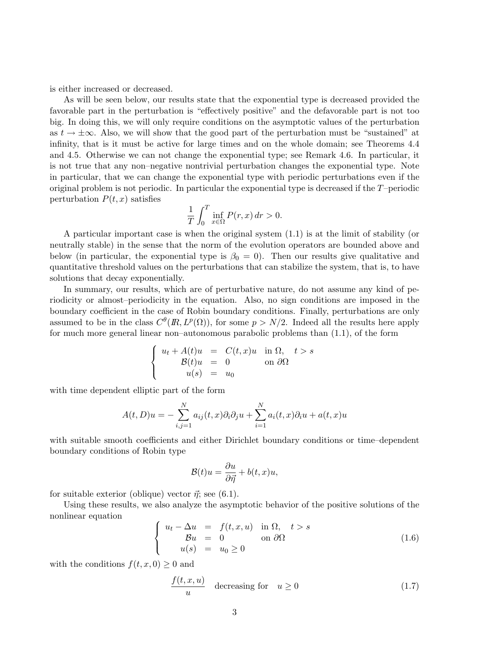is either increased or decreased.

As will be seen below, our results state that the exponential type is decreased provided the favorable part in the perturbation is "effectively positive" and the defavorable part is not too big. In doing this, we will only require conditions on the asymptotic values of the perturbation as  $t \to \pm \infty$ . Also, we will show that the good part of the perturbation must be "sustained" at infinity, that is it must be active for large times and on the whole domain; see Theorems 4.4 and 4.5. Otherwise we can not change the exponential type; see Remark 4.6. In particular, it is not true that any non–negative nontrivial perturbation changes the exponential type. Note in particular, that we can change the exponential type with periodic perturbations even if the original problem is not periodic. In particular the exponential type is decreased if the  $T$ –periodic perturbation  $P(t, x)$  satisfies

$$
\frac{1}{T} \int_0^T \inf_{x \in \Omega} P(r, x) dr > 0.
$$

A particular important case is when the original system (1.1) is at the limit of stability (or neutrally stable) in the sense that the norm of the evolution operators are bounded above and below (in particular, the exponential type is  $\beta_0 = 0$ ). Then our results give qualitative and quantitative threshold values on the perturbations that can stabilize the system, that is, to have solutions that decay exponentially.

In summary, our results, which are of perturbative nature, do not assume any kind of periodicity or almost–periodicity in the equation. Also, no sign conditions are imposed in the boundary coefficient in the case of Robin boundary conditions. Finally, perturbations are only assumed to be in the class  $C^{\theta}(R, L^p(\Omega))$ , for some  $p > N/2$ . Indeed all the results here apply for much more general linear non–autonomous parabolic problems than (1.1), of the form

$$
\begin{cases}\n u_t + A(t)u &= C(t, x)u \text{ in } \Omega, \quad t > s \\
 \mathcal{B}(t)u &= 0 \text{ on } \partial\Omega \\
 u(s) &= u_0\n\end{cases}
$$

with time dependent elliptic part of the form

$$
A(t, D)u = -\sum_{i,j=1}^{N} a_{ij}(t, x)\partial_i\partial_j u + \sum_{i=1}^{N} a_i(t, x)\partial_i u + a(t, x)u
$$

with suitable smooth coefficients and either Dirichlet boundary conditions or time–dependent boundary conditions of Robin type

$$
\mathcal{B}(t)u = \frac{\partial u}{\partial \vec{\eta}} + b(t, x)u,
$$

for suitable exterior (oblique) vector  $\vec{\eta}$ ; see (6.1).

Using these results, we also analyze the asymptotic behavior of the positive solutions of the nonlinear equation

$$
\begin{cases}\n u_t - \Delta u = f(t, x, u) & \text{in } \Omega, \quad t > s \\
 \mathcal{B}u = 0 & \text{on } \partial\Omega\n\end{cases}
$$
\n(1.6)\n
$$
u(s) = u_0 \ge 0
$$

with the conditions  $f(t, x, 0) \geq 0$  and

$$
\frac{f(t, x, u)}{u} \quad \text{decreasing for} \quad u \ge 0 \tag{1.7}
$$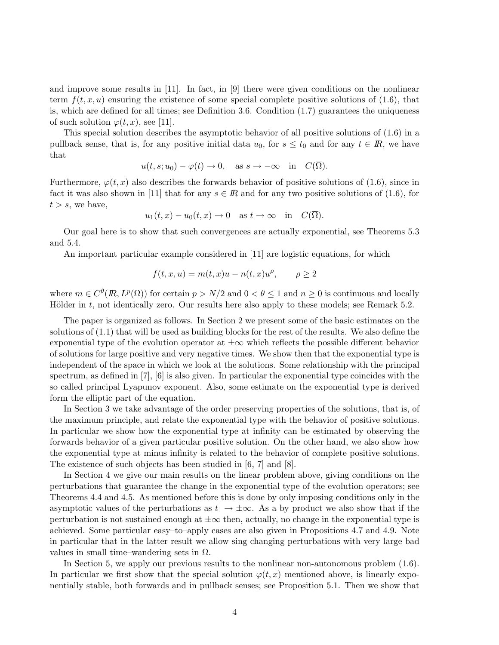and improve some results in [11]. In fact, in [9] there were given conditions on the nonlinear term  $f(t, x, u)$  ensuring the existence of some special complete positive solutions of (1.6), that is, which are defined for all times; see Definition 3.6. Condition  $(1.7)$  guarantees the uniqueness of such solution  $\varphi(t, x)$ , see [11].

This special solution describes the asymptotic behavior of all positive solutions of (1.6) in a pullback sense, that is, for any positive initial data  $u_0$ , for  $s \le t_0$  and for any  $t \in \mathbb{R}$ , we have that

$$
u(t, s; u_0) - \varphi(t) \to 0
$$
, as  $s \to -\infty$  in  $C(\overline{\Omega})$ .

Furthermore,  $\varphi(t, x)$  also describes the forwards behavior of positive solutions of (1.6), since in fact it was also shown in [11] that for any  $s \in \mathbb{R}$  and for any two positive solutions of (1.6), for  $t > s$ , we have,

$$
u_1(t,x) - u_0(t,x) \to 0
$$
 as  $t \to \infty$  in  $C(\overline{\Omega})$ .

Our goal here is to show that such convergences are actually exponential, see Theorems 5.3 and 5.4.

An important particular example considered in [11] are logistic equations, for which

$$
f(t,x,u)=m(t,x)u-n(t,x)u^\rho,\qquad \rho\geq 2
$$

where  $m \in C^{\theta}(R, L^p(\Omega))$  for certain  $p > N/2$  and  $0 < \theta \leq 1$  and  $n \geq 0$  is continuous and locally Hölder in  $t$ , not identically zero. Our results here also apply to these models; see Remark 5.2.

The paper is organized as follows. In Section 2 we present some of the basic estimates on the solutions of (1.1) that will be used as building blocks for the rest of the results. We also define the exponential type of the evolution operator at  $\pm\infty$  which reflects the possible different behavior of solutions for large positive and very negative times. We show then that the exponential type is independent of the space in which we look at the solutions. Some relationship with the principal spectrum, as defined in [7], [6] is also given. In particular the exponential type coincides with the so called principal Lyapunov exponent. Also, some estimate on the exponential type is derived form the elliptic part of the equation.

In Section 3 we take advantage of the order preserving properties of the solutions, that is, of the maximum principle, and relate the exponential type with the behavior of positive solutions. In particular we show how the exponential type at infinity can be estimated by observing the forwards behavior of a given particular positive solution. On the other hand, we also show how the exponential type at minus infinity is related to the behavior of complete positive solutions. The existence of such objects has been studied in [6, 7] and [8].

In Section 4 we give our main results on the linear problem above, giving conditions on the perturbations that guarantee the change in the exponential type of the evolution operators; see Theorems 4.4 and 4.5. As mentioned before this is done by only imposing conditions only in the asymptotic values of the perturbations as  $t \to \pm \infty$ . As a by product we also show that if the perturbation is not sustained enough at  $\pm \infty$  then, actually, no change in the exponential type is achieved. Some particular easy–to–apply cases are also given in Propositions 4.7 and 4.9. Note in particular that in the latter result we allow sing changing perturbations with very large bad values in small time–wandering sets in  $\Omega$ .

In Section 5, we apply our previous results to the nonlinear non-autonomous problem (1.6). In particular we first show that the special solution  $\varphi(t, x)$  mentioned above, is linearly exponentially stable, both forwards and in pullback senses; see Proposition 5.1. Then we show that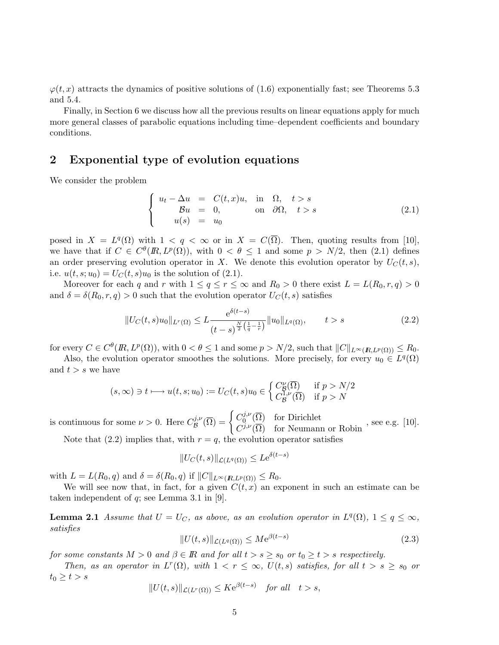$\varphi(t, x)$  attracts the dynamics of positive solutions of (1.6) exponentially fast; see Theorems 5.3 and 5.4.

Finally, in Section 6 we discuss how all the previous results on linear equations apply for much more general classes of parabolic equations including time–dependent coefficients and boundary conditions.

# 2 Exponential type of evolution equations

We consider the problem

$$
\begin{cases}\n u_t - \Delta u = C(t, x)u, & \text{in } \Omega, \quad t > s \\
 \mathcal{B}u = 0, & \text{on } \partial\Omega, \quad t > s \\
 u(s) = u_0\n\end{cases}
$$
\n(2.1)

posed in  $X = L^q(\Omega)$  with  $1 < q < \infty$  or in  $X = C(\overline{\Omega})$ . Then, quoting results from [10], we have that if  $C \in C^{\theta}(R, L^p(\Omega))$ , with  $0 < \theta \leq 1$  and some  $p > N/2$ , then (2.1) defines an order preserving evolution operator in X. We denote this evolution operator by  $U_C(t, s)$ , i.e.  $u(t, s; u_0) = U_C(t, s)u_0$  is the solution of (2.1).

Moreover for each q and r with  $1 \le q \le r \le \infty$  and  $R_0 > 0$  there exist  $L = L(R_0, r, q) > 0$ and  $\delta = \delta(R_0, r, q) > 0$  such that the evolution operator  $U_C(t, s)$  satisfies

$$
||U_C(t,s)u_0||_{L^r(\Omega)} \le L \frac{e^{\delta(t-s)}}{(t-s)^{\frac{N}{2}(\frac{1}{q}-\frac{1}{r})}} ||u_0||_{L^q(\Omega)}, \qquad t > s
$$
\n(2.2)

for every  $C \in C^{\theta}(R, L^p(\Omega))$ , with  $0 < \theta \leq 1$  and some  $p > N/2$ , such that  $||C||_{L^{\infty}(R, L^p(\Omega))} \leq R_0$ .

Also, the evolution operator smoothes the solutions. More precisely, for every  $u_0 \in L^q(\Omega)$ and  $t > s$  we have

$$
(s,\infty) \ni t \longmapsto u(t,s;u_0) := U_C(t,s)u_0 \in \begin{cases} C_B^{\nu}(\overline{\Omega}) & \text{if } p > N/2\\ C_B^{1,\nu}(\overline{\Omega}) & \text{if } p > N \end{cases}
$$

is continuous for some  $\nu > 0$ . Here  $C^{j,\nu}_{\mathcal{B}}(\overline{\Omega}) = \begin{cases} C^{j,\nu}_{0}(\overline{\Omega}) & \text{for Dirichlet} \\ C^{j,\nu}(\overline{\Omega}) & \text{for Neumann or Robin} \end{cases}$ , see e.g. [10].

Note that (2.2) implies that, with  $r = q$ , the evolution operator satisfies

$$
||U_C(t,s)||_{\mathcal{L}(L^q(\Omega))} \leq L e^{\delta(t-s)}
$$

with  $L = L(R_0, q)$  and  $\delta = \delta(R_0, q)$  if  $||C||_{L^{\infty}(R, L^p(\Omega))} \leq R_0$ .

We will see now that, in fact, for a given  $C(t, x)$  an exponent in such an estimate can be taken independent of  $q$ ; see Lemma 3.1 in [9].

**Lemma 2.1** Assume that  $U = U_C$ , as above, as an evolution operator in  $L^q(\Omega)$ ,  $1 \leq q \leq \infty$ , satisfies

$$
||U(t,s)||_{\mathcal{L}(L^{q}(\Omega))} \leq Me^{\beta(t-s)} \tag{2.3}
$$

for some constants  $M > 0$  and  $\beta \in \mathbb{R}$  and for all  $t > s \geq s_0$  or  $t_0 \geq t > s$  respectively.

Then, as an operator in  $L^r(\Omega)$ , with  $1 < r \leq \infty$ ,  $U(t, s)$  satisfies, for all  $t > s \geq s_0$  or  $t_0 \geq t > s$ 

$$
||U(t,s)||_{\mathcal{L}(L^r(\Omega))} \leq K e^{\beta(t-s)} \quad \text{for all} \quad t > s,
$$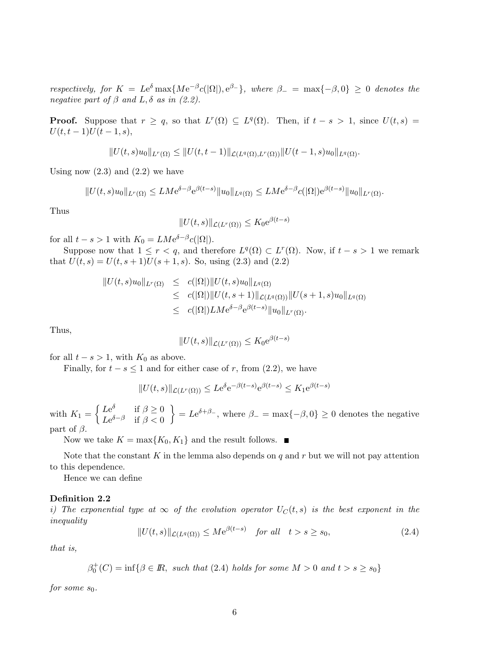respectively, for  $K = Le^{\delta} \max\{M e^{-\beta} c(|\Omega|), e^{\beta} \}$ , where  $\beta_- = \max\{-\beta, 0\} \geq 0$  denotes the negative part of  $\beta$  and  $L, \delta$  as in (2.2).

**Proof.** Suppose that  $r \geq q$ , so that  $L^r(\Omega) \subseteq L^q(\Omega)$ . Then, if  $t - s > 1$ , since  $U(t, s) =$  $U(t, t-1)U(t-1, s),$ 

$$
||U(t,s)u_0||_{L^r(\Omega)} \leq ||U(t,t-1)||_{\mathcal{L}(L^q(\Omega),L^r(\Omega))}||U(t-1,s)u_0||_{L^q(\Omega)}.
$$

Using now  $(2.3)$  and  $(2.2)$  we have

$$
||U(t,s)u_0||_{L^r(\Omega)} \leq LM e^{\delta-\beta} e^{\beta(t-s)} ||u_0||_{L^q(\Omega)} \leq LM e^{\delta-\beta} c(|\Omega|) e^{\beta(t-s)} ||u_0||_{L^r(\Omega)}.
$$

Thus

$$
||U(t,s)||_{\mathcal{L}(L^r(\Omega))} \leq K_0 e^{\beta(t-s)}
$$

for all  $t - s > 1$  with  $K_0 = LMe^{\delta-\beta}c(|\Omega|)$ .

Suppose now that  $1 \leq r < q$ , and therefore  $L^q(\Omega) \subset L^r(\Omega)$ . Now, if  $t - s > 1$  we remark that  $U(t, s) = U(t, s + 1)U(s + 1, s)$ . So, using (2.3) and (2.2)

$$
||U(t,s)u_0||_{L^r(\Omega)} \leq c(|\Omega|) ||U(t,s)u_0||_{L^q(\Omega)}
$$
  
\n
$$
\leq c(|\Omega|) ||U(t,s+1)||_{\mathcal{L}(L^q(\Omega))} ||U(s+1,s)u_0||_{L^q(\Omega)}
$$
  
\n
$$
\leq c(|\Omega|)LM e^{\delta-\beta}e^{\beta(t-s)}||u_0||_{L^r(\Omega)}.
$$

Thus,

$$
||U(t,s)||_{\mathcal{L}(L^r(\Omega))} \leq K_0 e^{\beta(t-s)}
$$

for all  $t - s > 1$ , with  $K_0$  as above.

Finally, for  $t - s \leq 1$  and for either case of r, from (2.2), we have

$$
||U(t,s)||_{\mathcal{L}(L^r(\Omega))} \leq Le^{\delta} e^{-\beta(t-s)} e^{\beta(t-s)} \leq K_1 e^{\beta(t-s)}
$$

with  $K_1 = \begin{cases} Le^{\delta} & \text{if } \beta \geq 0 \\ Le^{\delta-\beta} & \text{if } \beta > 0 \end{cases}$  $Le^{\delta-\beta}$  if  $\beta < 0$  $\Big\} = Le^{\delta + \beta_{-}}$ , where  $\beta_{-} = \max\{-\beta, 0\} \ge 0$  denotes the negative part of  $\beta$ .

Now we take  $K = \max\{K_0, K_1\}$  and the result follows.

Note that the constant K in the lemma also depends on  $q$  and  $r$  but we will not pay attention to this dependence.

Hence we can define

### Definition 2.2

i) The exponential type at  $\infty$  of the evolution operator  $U_C(t, s)$  is the best exponent in the inequality

$$
||U(t,s)||_{\mathcal{L}(L^{q}(\Omega))} \leq Me^{\beta(t-s)} \quad \text{for all} \quad t > s \geq s_0,
$$
\n
$$
(2.4)
$$

that is,

$$
\beta_0^+(C)=\inf\{\beta\in\mathbb{R},\ such\ that\ (2.4)\ holds\ for\ some\ M>0\ and\ t>s\ge s_0\}
$$

for some  $s_0$ .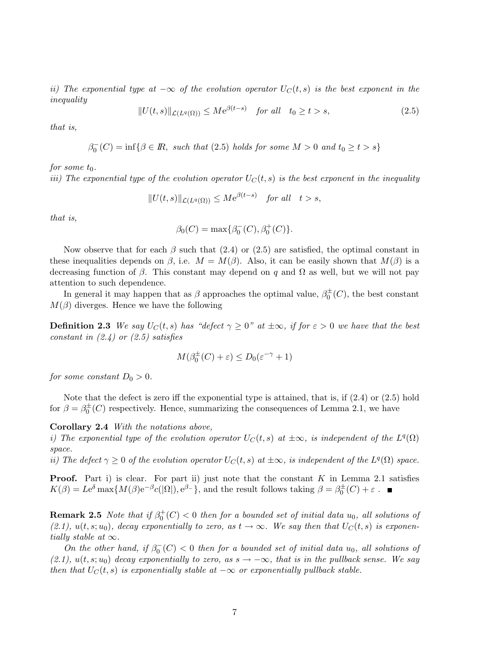ii) The exponential type at  $-\infty$  of the evolution operator  $U_C(t, s)$  is the best exponent in the inequality

$$
||U(t,s)||_{\mathcal{L}(L^{q}(\Omega))} \leq M e^{\beta(t-s)} \quad \text{for all} \quad t_0 \geq t > s,
$$
\n
$$
(2.5)
$$

that is,

$$
\beta_0^-(C) = \inf \{ \beta \in \mathbb{R}, \text{ such that (2.5) holds for some } M > 0 \text{ and } t_0 \ge t > s \}
$$

for some  $t_0$ .

iii) The exponential type of the evolution operator  $U_C(t, s)$  is the best exponent in the inequality

$$
||U(t,s)||_{\mathcal{L}(L^q(\Omega))} \leq Me^{\beta(t-s)} \quad \text{for all} \quad t > s,
$$

that is,

$$
\beta_0(C) = \max \{ \beta_0^-(C), \beta_0^+(C) \}.
$$

Now observe that for each  $\beta$  such that (2.4) or (2.5) are satisfied, the optimal constant in these inequalities depends on  $\beta$ , i.e.  $M = M(\beta)$ . Also, it can be easily shown that  $M(\beta)$  is a decreasing function of  $\beta$ . This constant may depend on q and  $\Omega$  as well, but we will not pay attention to such dependence.

In general it may happen that as  $\beta$  approaches the optimal value,  $\beta_0^{\pm}(C)$ , the best constant  $M(\beta)$  diverges. Hence we have the following

**Definition 2.3** We say  $U_C(t, s)$  has "defect  $\gamma \geq 0$ " at  $\pm \infty$ , if for  $\varepsilon > 0$  we have that the best constant in  $(2.4)$  or  $(2.5)$  satisfies

$$
M(\beta_0^{\pm}(C) + \varepsilon) \le D_0(\varepsilon^{-\gamma} + 1)
$$

for some constant  $D_0 > 0$ .

Note that the defect is zero iff the exponential type is attained, that is, if  $(2.4)$  or  $(2.5)$  hold for  $\beta = \beta_0^{\pm}(C)$  respectively. Hence, summarizing the consequences of Lemma 2.1, we have

Corollary 2.4 With the notations above,

i) The exponential type of the evolution operator  $U_C(t, s)$  at  $\pm \infty$ , is independent of the  $L^q(\Omega)$ space.

ii) The defect  $\gamma \geq 0$  of the evolution operator  $U_C(t, s)$  at  $\pm \infty$ , is independent of the  $L^q(\Omega)$  space.

**Proof.** Part i) is clear. For part ii) just note that the constant  $K$  in Lemma 2.1 satisfies  $K(\beta) = Le^{\delta} \max \{ M(\beta) e^{-\beta} c(|\Omega|), e^{\beta -} \},$  and the result follows taking  $\beta = \beta_0^{\pm}(C) + \varepsilon$ .

**Remark 2.5** Note that if  $\beta_0^+(C) < 0$  then for a bounded set of initial data  $u_0$ , all solutions of  $(2.1), u(t, s; u_0)$ , decay exponentially to zero, as  $t \to \infty$ . We say then that  $U_C(t, s)$  is exponentially stable at  $\infty$ .

On the other hand, if  $\beta_0^-(C) < 0$  then for a bounded set of initial data  $u_0$ , all solutions of (2.1),  $u(t, s; u_0)$  decay exponentially to zero, as  $s \to -\infty$ , that is in the pullback sense. We say then that  $U_C(t, s)$  is exponentially stable at  $-\infty$  or exponentially pullback stable.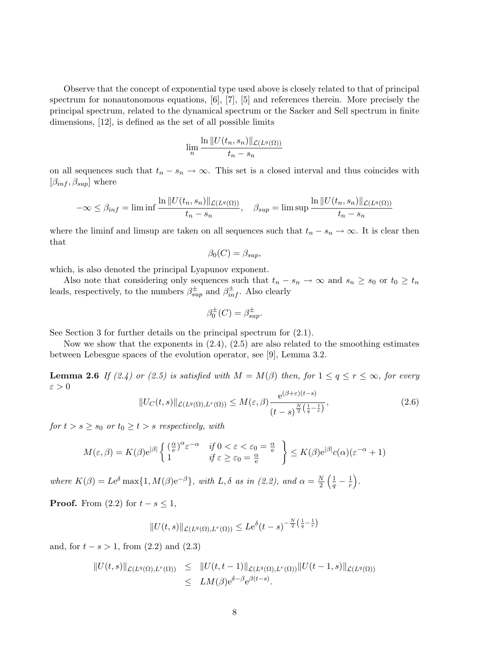Observe that the concept of exponential type used above is closely related to that of principal spectrum for nonautonomous equations, [6], [7], [5] and references therein. More precisely the principal spectrum, related to the dynamical spectrum or the Sacker and Sell spectrum in finite dimensions, [12], is defined as the set of all possible limits

$$
\lim_{n} \frac{\ln ||U(t_n, s_n)||_{\mathcal{L}(L^q(\Omega))}}{t_n - s_n}
$$

on all sequences such that  $t_n - s_n \to \infty$ . This set is a closed interval and thus coincides with  $[\beta_{inf}, \beta_{sup}]$  where

$$
-\infty \leq \beta_{inf} = \liminf \frac{\ln ||U(t_n, s_n)||_{\mathcal{L}(L^q(\Omega))}}{t_n - s_n}, \quad \beta_{sup} = \limsup \frac{\ln ||U(t_n, s_n)||_{\mathcal{L}(L^q(\Omega))}}{t_n - s_n}
$$

where the liminf and limsup are taken on all sequences such that  $t_n - s_n \to \infty$ . It is clear then that

$$
\beta_0(C) = \beta_{sup},
$$

which, is also denoted the principal Lyapunov exponent.

Also note that considering only sequences such that  $t_n - s_n \to \infty$  and  $s_n \geq s_0$  or  $t_0 \geq t_n$ leads, respectively, to the numbers  $\beta^{\pm}_{\text{sup}}$  and  $\beta^{\pm}_{\text{inf}}$ . Also clearly

$$
\beta_0^{\pm}(C) = \beta_{sup}^{\pm}.
$$

See Section 3 for further details on the principal spectrum for (2.1).

Now we show that the exponents in  $(2.4)$ ,  $(2.5)$  are also related to the smoothing estimates between Lebesgue spaces of the evolution operator, see [9], Lemma 3.2.

**Lemma 2.6** If (2.4) or (2.5) is satisfied with  $M = M(\beta)$  then, for  $1 \le q \le r \le \infty$ , for every  $\varepsilon > 0$ 

$$
||U_C(t,s)||_{\mathcal{L}(L^q(\Omega),L^r(\Omega))} \le M(\varepsilon,\beta)\frac{e^{(\beta+\varepsilon)(t-s)}}{(t-s)^{\frac{N}{2}\left(\frac{1}{q}-\frac{1}{r}\right)}},\tag{2.6}
$$

for  $t > s \geq s_0$  or  $t_0 \geq t > s$  respectively, with

$$
M(\varepsilon, \beta) = K(\beta) e^{|\beta|} \left\{ \begin{array}{ll} \left(\frac{\alpha}{e}\right)^{\alpha} \varepsilon^{-\alpha} & \text{if } 0 < \varepsilon < \varepsilon_0 = \frac{\alpha}{e} \\ 1 & \text{if } \varepsilon \ge \varepsilon_0 = \frac{\alpha}{e} \end{array} \right\} \le K(\beta) e^{|\beta|} c(\alpha) (\varepsilon^{-\alpha} + 1)
$$

where  $K(\beta) = Le^{\delta} \max\{1, M(\beta)e^{-\beta}\}\$ , with L,  $\delta$  as in (2.2), and  $\alpha = \frac{N}{2}$  $\left(\frac{1}{q}-\frac{1}{r}\right)$ / .

**Proof.** From  $(2.2)$  for  $t - s \leq 1$ ,

$$
||U(t,s)||_{\mathcal{L}(L^q(\Omega),L^r(\Omega))} \leq Le^{\delta}(t-s)^{-\frac{N}{2}\left(\frac{1}{q}-\frac{1}{r}\right)}
$$

and, for  $t - s > 1$ , from  $(2.2)$  and  $(2.3)$ 

$$
||U(t,s)||_{\mathcal{L}(L^q(\Omega),L^r(\Omega))} \leq ||U(t,t-1)||_{\mathcal{L}(L^q(\Omega),L^r(\Omega))} ||U(t-1,s)||_{\mathcal{L}(L^q(\Omega))}
$$
  

$$
\leq LM(\beta)e^{\delta-\beta}e^{\beta(t-s)}.
$$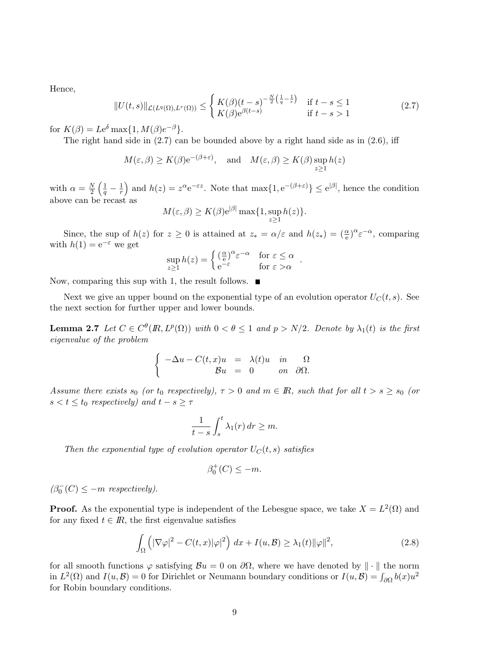Hence,

$$
||U(t,s)||_{\mathcal{L}(L^q(\Omega),L^r(\Omega))} \leq \begin{cases} K(\beta)(t-s)^{-\frac{N}{2}\left(\frac{1}{q}-\frac{1}{r}\right)} & \text{if } t-s \leq 1\\ K(\beta)e^{\beta(t-s)} & \text{if } t-s > 1 \end{cases}
$$
(2.7)

for  $K(\beta) = Le^{\delta} \max\{1, M(\beta)e^{-\beta}\}.$ 

The right hand side in  $(2.7)$  can be bounded above by a right hand side as in  $(2.6)$ , iff

$$
M(\varepsilon, \beta) \ge K(\beta) e^{-(\beta + \varepsilon)},
$$
 and  $M(\varepsilon, \beta) \ge K(\beta) \sup_{z \ge 1} h(z)$ 

with  $\alpha = \frac{N}{2}$  $\left(\frac{1}{q}-\frac{1}{r}\right)$ ) and  $h(z) = z^{\alpha} e^{-\varepsilon z}$ . Note that  $\max\{1, e^{-(\beta + \varepsilon)}\} \le e^{|\beta|}$ , hence the condition above can be recast as

$$
M(\varepsilon,\beta) \ge K(\beta) e^{|\beta|} \max\{1,\sup_{z\ge 1} h(z)\}.
$$

Since, the sup of  $h(z)$  for  $z \ge 0$  is attained at  $z_* = \alpha/\varepsilon$  and  $h(z_*) = (\frac{\alpha}{e})^{\alpha} \varepsilon^{-\alpha}$ , comparing with  $h(1) = e^{-\varepsilon}$  we get

$$
\sup_{z\geq 1} h(z) = \begin{cases} \left(\frac{\alpha}{e}\right)^{\alpha} \varepsilon^{-\alpha} & \text{for } \varepsilon \leq \alpha \\ e^{-\varepsilon} & \text{for } \varepsilon > \alpha \end{cases}.
$$

Now, comparing this sup with 1, the result follows.  $\blacksquare$ 

Next we give an upper bound on the exponential type of an evolution operator  $U_C(t, s)$ . See the next section for further upper and lower bounds.

**Lemma 2.7** Let  $C \in C^{\theta}(R, L^p(\Omega))$  with  $0 < \theta \leq 1$  and  $p > N/2$ . Denote by  $\lambda_1(t)$  is the first eigenvalue of the problem

$$
\label{eq:1D1V:2} \left\{ \begin{array}{rcl} -\Delta u - C(t,x)u &=& \lambda(t)u \quad in \qquad \Omega \\ \mathcal{B} u &=& 0 \qquad \text{on} \quad \partial \Omega. \end{array} \right.
$$

Assume there exists  $s_0$  (or  $t_0$  respectively),  $\tau > 0$  and  $m \in \mathbb{R}$ , such that for all  $t > s \geq s_0$  (or  $s < t \leq t_0$  respectively) and  $t - s \geq \tau$ 

$$
\frac{1}{t-s}\int_{s}^{t}\lambda_1(r)\,dr\geq m.
$$

Then the exponential type of evolution operator  $U_C(t, s)$  satisfies

$$
\beta_0^+(C) \le -m.
$$

 $(\beta_0^-(C) \le -m$  respectively).

**Proof.** As the exponential type is independent of the Lebesgue space, we take  $X = L^2(\Omega)$  and for any fixed  $t \in \mathbb{R}$ , the first eigenvalue satisfies

$$
\int_{\Omega} \left( |\nabla \varphi|^2 - C(t, x) |\varphi|^2 \right) dx + I(u, \mathcal{B}) \ge \lambda_1(t) ||\varphi||^2,
$$
\n(2.8)

for all smooth functions  $\varphi$  satisfying  $\mathcal{B}u = 0$  on  $\partial\Omega$ , where we have denoted by  $\|\cdot\|$  the norm in  $L^2(\Omega)$  and  $I(u, \mathcal{B}) = 0$  for Dirichlet or Neumann boundary conditions or  $I(u, \mathcal{B}) = \int_{\partial\Omega} b(x)u^2$ for Robin boundary conditions.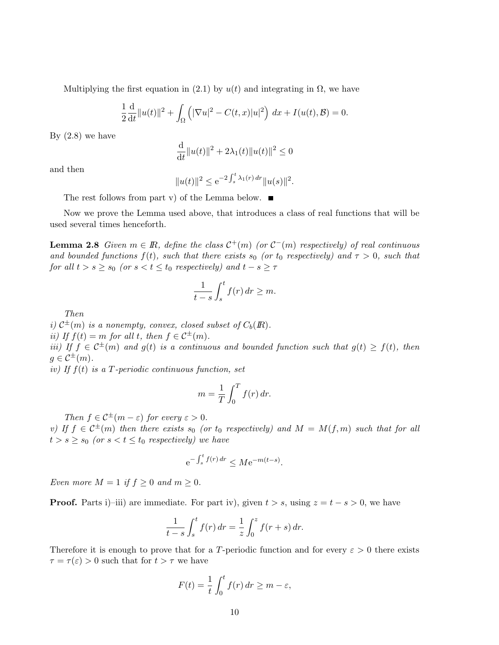Multiplying the first equation in (2.1) by  $u(t)$  and integrating in  $\Omega$ , we have

$$
\frac{1}{2}\frac{d}{dt}\|u(t)\|^2 + \int_{\Omega} (|\nabla u|^2 - C(t, x)|u|^2) \, dx + I(u(t), \mathcal{B}) = 0.
$$

By  $(2.8)$  we have

$$
\frac{\mathrm{d}}{\mathrm{d}t}||u(t)||^2 + 2\lambda_1(t)||u(t)||^2 \le 0
$$

and then

$$
||u(t)||^2 \le e^{-2\int_s^t \lambda_1(r) dr} ||u(s)||^2.
$$

The rest follows from part v) of the Lemma below.  $\blacksquare$ 

Now we prove the Lemma used above, that introduces a class of real functions that will be used several times henceforth.

**Lemma 2.8** Given  $m \in \mathbb{R}$ , define the class  $\mathcal{C}^+(m)$  (or  $\mathcal{C}^-(m)$  respectively) of real continuous and bounded functions  $f(t)$ , such that there exists  $s_0$  (or  $t_0$  respectively) and  $\tau > 0$ , such that for all  $t > s \geq s_0$  (or  $s < t \leq t_0$  respectively) and  $t - s \geq \tau$ 

$$
\frac{1}{t-s}\int_{s}^{t}f(r)\,dr\geq m.
$$

Then

i)  $\mathcal{C}^{\pm}(m)$  is a nonempty, convex, closed subset of  $C_b(\mathbb{R})$ . ii) If  $f(t) = m$  for all t, then  $f \in C^{\pm}(m)$ .

iii) If  $f \in C^{\pm}(m)$  and  $g(t)$  is a continuous and bounded function such that  $g(t) \geq f(t)$ , then  $g \in \mathcal{C}^{\pm}(m)$ .

iv) If  $f(t)$  is a T-periodic continuous function, set

$$
m = \frac{1}{T} \int_0^T f(r) \, dr.
$$

Then  $f \in C^{\pm}(m-\varepsilon)$  for every  $\varepsilon > 0$ .

v) If  $f \in C^{\pm}(m)$  then there exists  $s_0$  (or  $t_0$  respectively) and  $M = M(f, m)$  such that for all  $t > s \geq s_0$  (or  $s < t \leq t_0$  respectively) we have

$$
e^{-\int_s^t f(r) dr} \le Me^{-m(t-s)}.
$$

Even more  $M = 1$  if  $f \geq 0$  and  $m \geq 0$ .

**Proof.** Parts i)–iii) are immediate. For part iv), given  $t > s$ , using  $z = t - s > 0$ , we have

$$
\frac{1}{t-s} \int_{s}^{t} f(r) dr = \frac{1}{z} \int_{0}^{z} f(r+s) dr.
$$

Therefore it is enough to prove that for a T-periodic function and for every  $\varepsilon > 0$  there exists  $\tau = \tau(\varepsilon) > 0$  such that for  $t > \tau$  we have

$$
F(t) = \frac{1}{t} \int_0^t f(r) dr \ge m - \varepsilon,
$$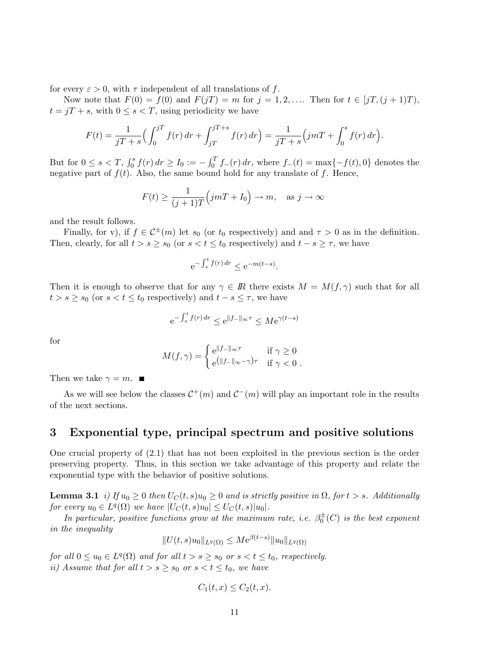for every  $\varepsilon > 0$ , with  $\tau$  independent of all translations of f.

Now note that  $F(0) = f(0)$  and  $F(jT) = m$  for  $j = 1, 2, ...$  Then for  $t \in [jT, (j + 1)T)$ ,  $t = jT + s$ , with  $0 \leq s < T$ , using periodicity we have

$$
F(t) = \frac{1}{jT + s} \Big( \int_0^{jT} f(r) dr + \int_{jT}^{jT + s} f(r) dr \Big) = \frac{1}{jT + s} \Big( jmT + \int_0^s f(r) dr \Big).
$$

But for  $0 \le s < T$ ,  $\int_0^s f(r) dr \ge I_0 := -\int_0^T f_-(r) dr$ , where  $f_-(t) = \max\{-f(t), 0\}$  denotes the negative part of  $f(t)$ . Also, the same bound hold for any translate of f. Hence,

$$
F(t) \ge \frac{1}{(j+1)T} \Big(jm + I_0\Big) \to m, \quad \text{as } j \to \infty
$$

and the result follows.

Finally, for v), if  $f \in C^{\pm}(m)$  let  $s_0$  (or  $t_0$  respectively) and and  $\tau > 0$  as in the definition. Then, clearly, for all  $t > s \geq s_0$  (or  $s < t \leq t_0$  respectively) and  $t - s \geq \tau$ , we have

$$
e^{-\int_s^t f(r) dr} \le e^{-m(t-s)}.
$$

Then it is enough to observe that for any  $\gamma \in \mathbb{R}$  there exists  $M = M(f, \gamma)$  such that for all  $t > s \geq s_0$  (or  $s < t \leq t_0$  respectively) and  $t - s \leq \tau$ , we have

$$
e^{-\int_s^t f(r) dr} \le e^{\|f - \|_\infty \tau} \le Me^{\gamma(t - s)}
$$

for

$$
M(f,\gamma) = \begin{cases} e^{\|f_{-}\|_{\infty}\tau} & \text{if } \gamma \ge 0\\ e^{\|f_{-}\|_{\infty}-\gamma\tau} & \text{if } \gamma < 0 \end{cases}.
$$

Then we take  $\gamma = m$ .

As we will see below the classes  $\mathcal{C}^+(m)$  and  $\mathcal{C}^-(m)$  will play an important role in the results of the next sections.

### 3 Exponential type, principal spectrum and positive solutions

One crucial property of (2.1) that has not been exploited in the previous section is the order preserving property. Thus, in this section we take advantage of this property and relate the exponential type with the behavior of positive solutions.

**Lemma 3.1** i) If  $u_0 \geq 0$  then  $U_C(t, s)u_0 \geq 0$  and is strictly positive in  $\Omega$ , for  $t > s$ . Additionally for every  $u_0 \in L^q(\Omega)$  we have  $|U_C(t, s)u_0| \leq U_C(t, s)|u_0|$ .

In particular, positive functions grow at the maximum rate, i.e.  $\beta_0^{\pm}(C)$  is the best exponent in the inequality

$$
||U(t,s)u_0||_{L^q(\Omega)} \leq Me^{\beta(t-s)}||u_0||_{L^q(\Omega)}
$$

for all  $0 \le u_0 \in L^q(\Omega)$  and for all  $t > s \ge s_0$  or  $s < t \le t_0$ , respectively. ii) Assume that for all  $t > s \geq s_0$  or  $s < t \leq t_0$ , we have

$$
C_1(t,x) \le C_2(t,x).
$$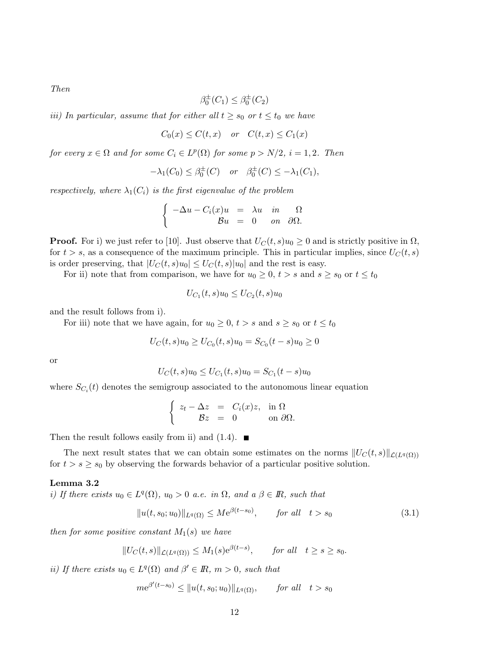Then

$$
\beta_0^{\pm}(C_1) \leq \beta_0^{\pm}(C_2)
$$

iii) In particular, assume that for either all  $t \geq s_0$  or  $t \leq t_0$  we have

$$
C_0(x) \le C(t, x) \quad or \quad C(t, x) \le C_1(x)
$$

for every  $x \in \Omega$  and for some  $C_i \in L^p(\Omega)$  for some  $p > N/2$ ,  $i = 1, 2$ . Then

$$
-\lambda_1(C_0) \leq \beta_0^{\pm}(C) \quad \text{or} \quad \beta_0^{\pm}(C) \leq -\lambda_1(C_1),
$$

respectively, where  $\lambda_1(C_i)$  is the first eigenvalue of the problem

$$
\begin{cases}\n-\Delta u - C_i(x)u &= \lambda u \quad in \quad \Omega \\
\delta u &= 0 \quad on \quad \partial \Omega.\n\end{cases}
$$

**Proof.** For i) we just refer to [10]. Just observe that  $U_C(t, s)u_0 \geq 0$  and is strictly positive in  $\Omega$ , for  $t > s$ , as a consequence of the maximum principle. This in particular implies, since  $U_C(t, s)$ is order preserving, that  $|U_C(t, s)u_0| \leq U_C(t, s)|u_0|$  and the rest is easy.

For ii) note that from comparison, we have for  $u_0 \ge 0$ ,  $t > s$  and  $s \ge s_0$  or  $t \le t_0$ 

$$
U_{C_1}(t,s)u_0 \le U_{C_2}(t,s)u_0
$$

and the result follows from i).

For iii) note that we have again, for  $u_0 \geq 0$ ,  $t > s$  and  $s \geq s_0$  or  $t \leq t_0$ 

$$
U_C(t,s)u_0 \ge U_{C_0}(t,s)u_0 = S_{C_0}(t-s)u_0 \ge 0
$$

or

$$
U_C(t,s)u_0 \le U_{C_1}(t,s)u_0 = S_{C_1}(t-s)u_0
$$

where  $S_{C_i}(t)$  denotes the semigroup associated to the autonomous linear equation

$$
\begin{cases}\nz_t - \Delta z &= C_i(x)z, & \text{in } \Omega \\
\mathcal{B}z &= 0 & \text{on } \partial\Omega.\n\end{cases}
$$

Then the result follows easily from ii) and  $(1.4)$ .

The next result states that we can obtain some estimates on the norms  $||U_C(t, s)||_{\mathcal{L}(L^q(\Omega))}$ for  $t > s \geq s_0$  by observing the forwards behavior of a particular positive solution.

### Lemma 3.2

i) If there exists  $u_0 \in L^q(\Omega)$ ,  $u_0 > 0$  a.e. in  $\Omega$ , and  $a \beta \in \mathbb{R}$ , such that

$$
||u(t, s_0; u_0)||_{L^q(\Omega)} \le Me^{\beta(t - s_0)}, \qquad \text{for all} \quad t > s_0
$$
\n(3.1)

then for some positive constant  $M_1(s)$  we have

$$
||U_C(t,s)||_{\mathcal{L}(L^q(\Omega))} \le M_1(s)e^{\beta(t-s)}, \quad \text{for all} \quad t \ge s \ge s_0.
$$

ii) If there exists  $u_0 \in L^q(\Omega)$  and  $\beta' \in \mathbb{R}$ ,  $m > 0$ , such that

$$
me^{\beta'(t-s_0)} \leq ||u(t, s_0; u_0)||_{L^q(\Omega)}, \quad \text{for all} \quad t > s_0
$$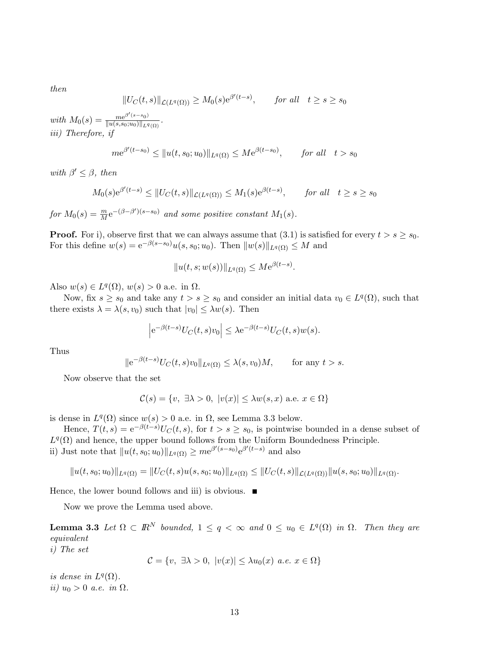then

$$
||U_C(t,s)||_{\mathcal{L}(L^q(\Omega))} \ge M_0(s)e^{\beta'(t-s)}, \quad \text{for all} \quad t \ge s \ge s_0
$$

with  $M_0(s) = \frac{me^{\beta'(s-s_0)}}{\|u(s,s_0;u_0)\|_{L^q(\Omega)}}$ . iii) Therefore, if

$$
me^{\beta'(t-s_0)} \le ||u(t, s_0; u_0)||_{L^q(\Omega)} \le Me^{\beta(t-s_0)}, \quad \text{for all} \quad t > s_0
$$

with  $\beta' \leq \beta$ , then

$$
M_0(s)e^{\beta'(t-s)} \le ||U_C(t,s)||_{\mathcal{L}(L^q(\Omega))} \le M_1(s)e^{\beta(t-s)}, \quad \text{for all} \quad t \ge s \ge s_0
$$

for  $M_0(s) = \frac{m}{M} e^{-(\beta - \beta')(s - s_0)}$  and some positive constant  $M_1(s)$ .

**Proof.** For i), observe first that we can always assume that  $(3.1)$  is satisfied for every  $t > s \geq s_0$ . For this define  $w(s) = e^{-\beta(s-s_0)}u(s, s_0; u_0)$ . Then  $||w(s)||_{L^q(\Omega)} \leq M$  and

$$
||u(t,s;w(s))||_{L^{q}(\Omega)} \leq Me^{\beta(t-s)}.
$$

Also  $w(s) \in L^q(\Omega)$ ,  $w(s) > 0$  a.e. in  $\Omega$ .

Now, fix  $s \geq s_0$  and take any  $t > s \geq s_0$  and consider an initial data  $v_0 \in L^q(\Omega)$ , such that there exists  $\lambda = \lambda(s, v_0)$  such that  $|v_0| \leq \lambda w(s)$ . Then

$$
\left| e^{-\beta(t-s)}U_C(t,s)v_0 \right| \leq \lambda e^{-\beta(t-s)}U_C(t,s)w(s).
$$

Thus

$$
\|e^{-\beta(t-s)}U_C(t,s)v_0\|_{L^q(\Omega)} \leq \lambda(s,v_0)M, \quad \text{for any } t > s.
$$

Now observe that the set

$$
\mathcal{C}(s) = \{v, \exists \lambda > 0, \ |v(x)| \le \lambda w(s, x) \text{ a.e. } x \in \Omega\}
$$

is dense in  $L^q(\Omega)$  since  $w(s) > 0$  a.e. in  $\Omega$ , see Lemma 3.3 below.

Hence,  $T(t,s) = e^{-\beta(t-s)}U_C(t,s)$ , for  $t>s \geq s_0$ , is pointwise bounded in a dense subset of  $L^{q}(\Omega)$  and hence, the upper bound follows from the Uniform Boundedness Principle. ii) Just note that  $||u(t, s_0; u_0)||_{L^q(\Omega)} \geq me^{\beta'(s-s_0)} e^{\beta'(t-s)}$  and also

$$
||u(t, s_0; u_0)||_{L^q(\Omega)} = ||U_C(t, s)u(s, s_0; u_0)||_{L^q(\Omega)} \leq ||U_C(t, s)||_{\mathcal{L}(L^q(\Omega))} ||u(s, s_0; u_0)||_{L^q(\Omega)}.
$$

Hence, the lower bound follows and iii) is obvious.  $\blacksquare$ 

Now we prove the Lemma used above.

**Lemma 3.3** Let  $\Omega \subset \mathbb{R}^N$  bounded,  $1 \leq q < \infty$  and  $0 \leq u_0 \in L^q(\Omega)$  in  $\Omega$ . Then they are equivalent

i) The set

$$
\mathcal{C} = \{v, \exists \lambda > 0, \ |v(x)| \le \lambda u_0(x) \ a.e. \ x \in \Omega\}
$$

is dense in  $L^q(\Omega)$ . ii)  $u_0 > 0$  a.e. in  $\Omega$ .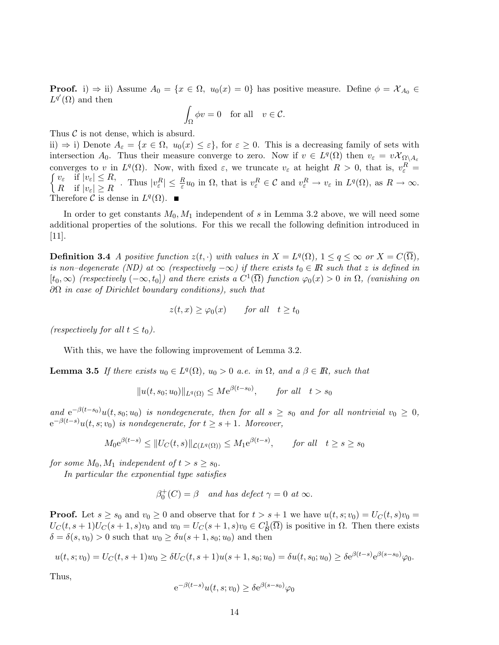**Proof.** i)  $\Rightarrow$  ii) Assume  $A_0 = \{x \in \Omega, u_0(x) = 0\}$  has positive measure. Define  $\phi = \mathcal{X}_{A_0} \in$  $L^{q'}(\Omega)$  and then

$$
\int_{\Omega} \phi v = 0 \quad \text{for all} \quad v \in \mathcal{C}.
$$

Thus  $\mathcal C$  is not dense, which is absurd.

ii)  $\Rightarrow$  i) Denote  $A_{\varepsilon} = \{x \in \Omega, u_0(x) \leq \varepsilon\}$ , for  $\varepsilon \geq 0$ . This is a decreasing family of sets with intersection  $A_0$ . Thus their measure converge to zero. Now if  $v \in L^q(\Omega)$  then  $v_{\varepsilon} = v\mathcal{X}_{\Omega \setminus A_{\varepsilon}}$ converges to v in  $L^q(\Omega)$ . Now, with fixed  $\varepsilon$ , we truncate  $v_{\varepsilon}$  at height  $R > 0$ , that is,  $v_{\varepsilon}^R =$ converges to v in  $L^q(\Omega)$ . Now, with fixed  $\varepsilon$ , we truncate  $v_{\varepsilon}$  at height  $R > 0$ , that is,  $v_{\varepsilon}^R =$ <br> $\int v_{\varepsilon}$  if  $|v_{\varepsilon}| \leq R$ , Thus  $|v^R| \leq \frac{R}{2}u_0$  in  $\Omega$  that is  $v^R \in \mathcal{C}$  and  $v^R \to v_{\varepsilon}$  in  $\mathcal{L}_{\varepsilon}^{U_{\varepsilon}} \cong \mathcal{L}_{\varepsilon}^{H} \quad \text{Thus } |v_{\varepsilon}^{R}| \leq \frac{R}{\varepsilon} u_0 \text{ in } \Omega, \text{ that is } v_{\varepsilon}^{R} \in \mathcal{C} \text{ and } v_{\varepsilon}^{R} \to v_{\varepsilon} \text{ in } L^q(\Omega), \text{ as } R \to \infty.$ Therefore C is dense in  $L^q(\Omega)$ .  $\blacksquare$ 

In order to get constants  $M_0, M_1$  independent of s in Lemma 3.2 above, we will need some additional properties of the solutions. For this we recall the following definition introduced in [11].

**Definition 3.4** A positive function  $z(t, \cdot)$  with values in  $X = L^q(\Omega)$ ,  $1 \leq q \leq \infty$  or  $X = C(\overline{\Omega})$ , is non–degenerate (ND) at  $\infty$  (respectively  $-\infty$ ) if there exists  $t_0 \in \mathbb{R}$  such that z is defined in  $[t_0,\infty)$  (respectively  $(-\infty,t_0]$ ) and there exists a  $C^1(\overline{\Omega})$  function  $\varphi_0(x) > 0$  in  $\Omega$ , (vanishing on  $\partial\Omega$  in case of Dirichlet boundary conditions), such that

$$
z(t,x) \ge \varphi_0(x) \qquad \text{for all} \quad t \ge t_0
$$

(respectively for all  $t \leq t_0$ ).

With this, we have the following improvement of Lemma 3.2.

**Lemma 3.5** If there exists  $u_0 \in L^q(\Omega)$ ,  $u_0 > 0$  a.e. in  $\Omega$ , and a  $\beta \in \mathbb{R}$ , such that

 $||u(t, s_0; u_0)||_{L^q(\Omega)} \leq Me^{\beta(t-s_0)}, \quad \text{for all} \quad t > s_0$ 

and  $e^{-\beta(t-s_0)}u(t,s_0;u_0)$  is nondegenerate, then for all  $s\geq s_0$  and for all nontrivial  $v_0\geq 0$ ,  $e^{-\beta(t-s)}u(t,s;v_0)$  is nondegenerate, for  $t \geq s+1$ . Moreover,

$$
M_0 e^{\beta(t-s)} \le \|U_C(t,s)\|_{\mathcal{L}(L^q(\Omega))} \le M_1 e^{\beta(t-s)}, \qquad \text{for all} \quad t \ge s \ge s_0
$$

for some  $M_0, M_1$  independent of  $t > s \geq s_0$ .

In particular the exponential type satisfies

$$
\beta_0^+(C) = \beta \quad and \text{ has defect } \gamma = 0 \text{ at } \infty.
$$

**Proof.** Let  $s \geq s_0$  and  $v_0 \geq 0$  and observe that for  $t > s + 1$  we have  $u(t, s; v_0) = U_C(t, s)v_0 =$  $U_C(t, s+1)U_C(s+1, s)v_0$  and  $w_0 = U_C(s+1, s)v_0 \in C_B^1(\overline{\Omega})$  is positive in  $\Omega$ . Then there exists  $\delta = \delta(s, v_0) > 0$  such that  $w_0 \geq \delta u(s + 1, s_0; u_0)$  and then

$$
u(t,s;v_0) = U_C(t,s+1)w_0 \geq \delta U_C(t,s+1)u(s+1,s_0;u_0) = \delta u(t,s_0;u_0) \geq \delta e^{\beta(t-s)}e^{\beta(s-s_0)}\varphi_0.
$$

Thus,

$$
e^{-\beta(t-s)}u(t,s;v_0)\geq \delta e^{\beta(s-s_0)}\varphi_0
$$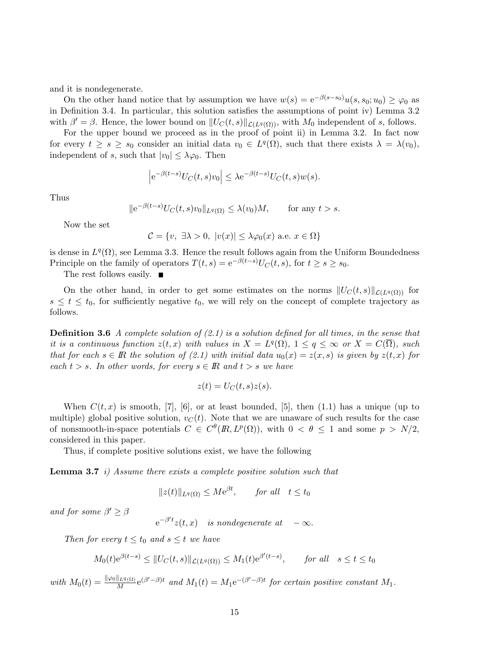and it is nondegenerate.

On the other hand notice that by assumption we have  $w(s)=e^{-\beta(s-s_0)}u(s, s_0; u_0) \geq \varphi_0$  as in Definition 3.4. In particular, this solution satisfies the assumptions of point iv) Lemma 3.2 with  $\beta' = \beta$ . Hence, the lower bound on  $||U_C(t, s)||_{\mathcal{L}(L^q(\Omega))}$ , with  $M_0$  independent of s, follows.

For the upper bound we proceed as in the proof of point ii) in Lemma 3.2. In fact now for every  $t \geq s \geq s_0$  consider an initial data  $v_0 \in L^q(\Omega)$ , such that there exists  $\lambda = \lambda(v_0)$ , independent of s, such that  $|v_0| \leq \lambda \varphi_0$ . Then

$$
\left| e^{-\beta(t-s)}U_C(t,s)v_0 \right| \leq \lambda e^{-\beta(t-s)}U_C(t,s)w(s).
$$

Thus

$$
\|e^{-\beta(t-s)}U_C(t,s)v_0\|_{L^q(\Omega)} \leq \lambda(v_0)M, \quad \text{for any } t > s.
$$

Now the set

$$
\mathcal{C} = \{v, \exists \lambda > 0, \ |v(x)| \le \lambda \varphi_0(x) \text{ a.e. } x \in \Omega\}
$$

is dense in  $L^q(\Omega)$ , see Lemma 3.3. Hence the result follows again from the Uniform Boundedness Principle on the family of operators  $T(t,s) = e^{-\beta(t-s)}U_C(t,s)$ , for  $t \ge s \ge s_0$ .

The rest follows easily. ■

On the other hand, in order to get some estimates on the norms  $||U_C(t, s)||_{\mathcal{L}(L^q(\Omega))}$  for  $s \leq t \leq t_0$ , for sufficiently negative  $t_0$ , we will rely on the concept of complete trajectory as follows.

**Definition 3.6** A complete solution of  $(2.1)$  is a solution defined for all times, in the sense that it is a continuous function  $z(t, x)$  with values in  $X = L^q(\Omega)$ ,  $1 \leq q \leq \infty$  or  $X = C(\overline{\Omega})$ , such that for each  $s \in \mathbb{R}$  the solution of (2.1) with initial data  $u_0(x) = z(x, s)$  is given by  $z(t, x)$  for each  $t > s$ . In other words, for every  $s \in \mathbb{R}$  and  $t > s$  we have

$$
z(t) = U_C(t, s)z(s).
$$

When  $C(t, x)$  is smooth, [7], [6], or at least bounded, [5], then (1.1) has a unique (up to multiple) global positive solution,  $v<sub>C</sub>(t)$ . Note that we are unaware of such results for the case of nonsmooth-in-space potentials  $C \in C^{\theta}(R, L^p(\Omega))$ , with  $0 < \theta \leq 1$  and some  $p > N/2$ , considered in this paper.

Thus, if complete positive solutions exist, we have the following

**Lemma 3.7** i) Assume there exists a complete positive solution such that

 $||z(t)||_{L^q(\Omega)} \leq Me^{\beta t}$ , for all  $t \leq t_0$ 

and for some  $\beta' \geq \beta$ 

 $e^{-\beta' t}z(t,x)$  is nondegenerate at  $-\infty$ .

Then for every  $t \leq t_0$  and  $s \leq t$  we have

$$
M_0(t)e^{\beta(t-s)} \le ||U_C(t,s)||_{\mathcal{L}(L^q(\Omega))} \le M_1(t)e^{\beta'(t-s)}, \quad \text{for all} \quad s \le t \le t_0
$$

with  $M_0(t) = \frac{\|\varphi_0\|_{L^q(\Omega)}}{M} e^{(\beta' - \beta)t}$  and  $M_1(t) = M_1 e^{-(\beta' - \beta)t}$  for certain positive constant  $M_1$ .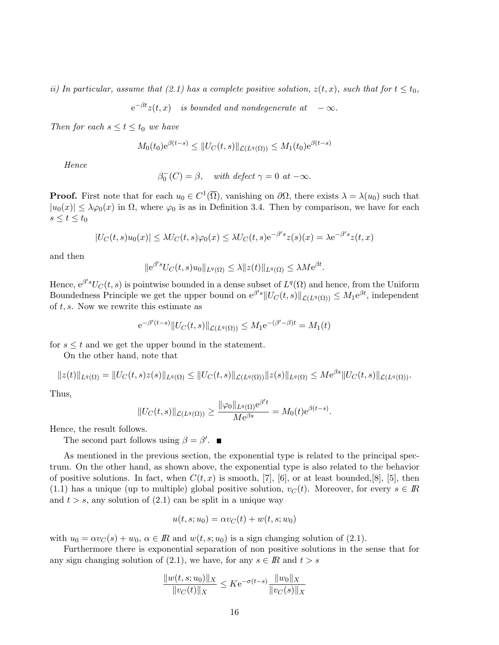ii) In particular, assume that (2.1) has a complete positive solution,  $z(t, x)$ , such that for  $t \leq t_0$ ,

 $e^{-\beta t}z(t,x)$  is bounded and nondegenerate at  $-\infty$ .

Then for each  $s \le t \le t_0$  we have

$$
M_0(t_0)e^{\beta(t-s)} \leq ||U_C(t,s)||_{\mathcal{L}(L^q(\Omega))} \leq M_1(t_0)e^{\beta(t-s)}
$$

Hence

$$
\beta_0^-(C) = \beta, \quad \text{with defect } \gamma = 0 \text{ at } -\infty.
$$

**Proof.** First note that for each  $u_0 \in C^1(\overline{\Omega})$ , vanishing on  $\partial\Omega$ , there exists  $\lambda = \lambda(u_0)$  such that  $|u_0(x)| \leq \lambda \varphi_0(x)$  in  $\Omega$ , where  $\varphi_0$  is as in Definition 3.4. Then by comparison, we have for each  $s \leq t \leq t_0$ 

$$
|U_C(t,s)u_0(x)| \le \lambda U_C(t,s)\varphi_0(x) \le \lambda U_C(t,s)e^{-\beta' s}z(s)(x) = \lambda e^{-\beta' s}z(t,x)
$$

and then

$$
\|e^{\beta' s}U_C(t,s)u_0\|_{L^q(\Omega)} \leq \lambda \|z(t)\|_{L^q(\Omega)} \leq \lambda M e^{\beta t}.
$$

Hence,  $e^{\beta's}U_C(t, s)$  is pointwise bounded in a dense subset of  $L^q(\Omega)$  and hence, from the Uniform Boundedness Principle we get the upper bound on  $e^{\beta' s} \|U_C(t, s)\|_{\mathcal{L}(L^q(\Omega))} \leq M_1 e^{\beta t}$ , independent of  $t, s$ . Now we rewrite this estimate as

$$
e^{-\beta'(t-s)}\|U_C(t,s)\|_{\mathcal{L}(L^q(\Omega))} \leq M_1 e^{-(\beta'-\beta)t} = M_1(t)
$$

for  $s \leq t$  and we get the upper bound in the statement.

On the other hand, note that

$$
||z(t)||_{L^{q}(\Omega)} = ||U_{C}(t,s)z(s)||_{L^{q}(\Omega)} \leq ||U_{C}(t,s)||_{\mathcal{L}(L^{q}(\Omega))} ||z(s)||_{L^{q}(\Omega)} \leq Me^{\beta s} ||U_{C}(t,s)||_{\mathcal{L}(L^{q}(\Omega))}.
$$

Thus,

$$
||U_C(t,s)||_{\mathcal{L}(L^q(\Omega))} \ge \frac{||\varphi_0||_{L^q(\Omega)} e^{\beta' t}}{Me^{\beta s}} = M_0(t)e^{\beta(t-s)}.
$$

Hence, the result follows.

The second part follows using  $\beta = \beta'$ .

As mentioned in the previous section, the exponential type is related to the principal spectrum. On the other hand, as shown above, the exponential type is also related to the behavior of positive solutions. In fact, when  $C(t, x)$  is smooth, [7], [6], or at least bounded, [8], [5], then (1.1) has a unique (up to multiple) global positive solution,  $v<sub>C</sub>(t)$ . Moreover, for every  $s \in \mathbb{R}$ and  $t > s$ , any solution of  $(2.1)$  can be split in a unique way

$$
u(t, s; u_0) = \alpha v_C(t) + w(t, s; w_0)
$$

with  $u_0 = \alpha v_C(s) + w_0, \ \alpha \in \mathbb{R}$  and  $w(t, s; u_0)$  is a sign changing solution of (2.1).

Furthermore there is exponential separation of non positive solutions in the sense that for any sign changing solution of (2.1), we have, for any  $s \in \mathbb{R}$  and  $t > s$ 

$$
\frac{\|w(t,s;u_0)\|_X}{\|v_C(t)\|_X} \le K e^{-\sigma(t-s)} \frac{\|w_0\|_X}{\|v_C(s)\|_X}
$$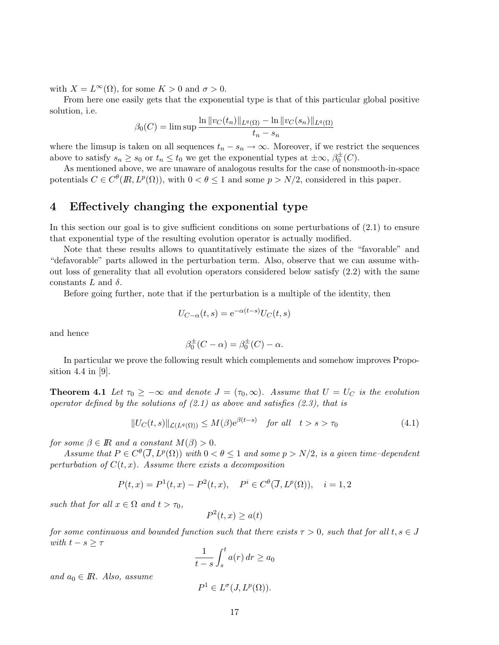with  $X = L^{\infty}(\Omega)$ , for some  $K > 0$  and  $\sigma > 0$ .

From here one easily gets that the exponential type is that of this particular global positive solution, i.e.

$$
\beta_0(C) = \limsup \frac{\ln \|v_C(t_n)\|_{L^q(\Omega)} - \ln \|v_C(s_n)\|_{L^q(\Omega)}}{t_n - s_n}
$$

where the limsup is taken on all sequences  $t_n - s_n \to \infty$ . Moreover, if we restrict the sequences above to satisfy  $s_n \geq s_0$  or  $t_n \leq t_0$  we get the exponential types at  $\pm \infty$ ,  $\beta_0^{\pm}(C)$ .

As mentioned above, we are unaware of analogous results for the case of nonsmooth-in-space potentials  $C \in C^{\theta}(I\!R, L^p(\Omega))$ , with  $0 < \theta \leq 1$  and some  $p > N/2$ , considered in this paper.

### 4 Effectively changing the exponential type

In this section our goal is to give sufficient conditions on some perturbations of (2.1) to ensure that exponential type of the resulting evolution operator is actually modified.

Note that these results allows to quantitatively estimate the sizes of the "favorable" and "defavorable" parts allowed in the perturbation term. Also, observe that we can assume without loss of generality that all evolution operators considered below satisfy (2.2) with the same constants L and  $\delta$ .

Before going further, note that if the perturbation is a multiple of the identity, then

$$
U_{C-\alpha}(t,s) = e^{-\alpha(t-s)}U_C(t,s)
$$

and hence

$$
\beta_0^{\pm}(C - \alpha) = \beta_0^{\pm}(C) - \alpha.
$$

In particular we prove the following result which complements and somehow improves Proposition 4.4 in [9].

**Theorem 4.1** Let  $\tau_0 \geq -\infty$  and denote  $J = (\tau_0, \infty)$ . Assume that  $U = U_C$  is the evolution operator defined by the solutions of  $(2.1)$  as above and satisfies  $(2.3)$ , that is

$$
||U_C(t,s)||_{\mathcal{L}(L^q(\Omega))} \le M(\beta) e^{\beta(t-s)} \quad \text{for all} \quad t > s > \tau_0
$$
\n
$$
(4.1)
$$

for some  $\beta \in \mathbb{R}$  and a constant  $M(\beta) > 0$ .

Assume that  $P \in C^{\theta}(\overline{J}, L^p(\Omega))$  with  $0 < \theta \leq 1$  and some  $p > N/2$ , is a given time-dependent perturbation of  $C(t, x)$ . Assume there exists a decomposition

$$
P(t, x) = P1(t, x) - P2(t, x), \quad Pi \in C\theta(\overline{J}, Lp(\Omega)), \quad i = 1, 2
$$

such that for all  $x \in \Omega$  and  $t > \tau_0$ ,

$$
P^2(t, x) \ge a(t)
$$

for some continuous and bounded function such that there exists  $\tau > 0$ , such that for all  $t, s \in J$ with  $t - s \geq \tau$ 

$$
\frac{1}{t-s}\int_{s}^{t}a(r)\,dr\geq a_0
$$

and  $a_0 \in \mathbb{R}$ . Also, assume

$$
P^1 \in L^{\sigma}(J, L^p(\Omega)).
$$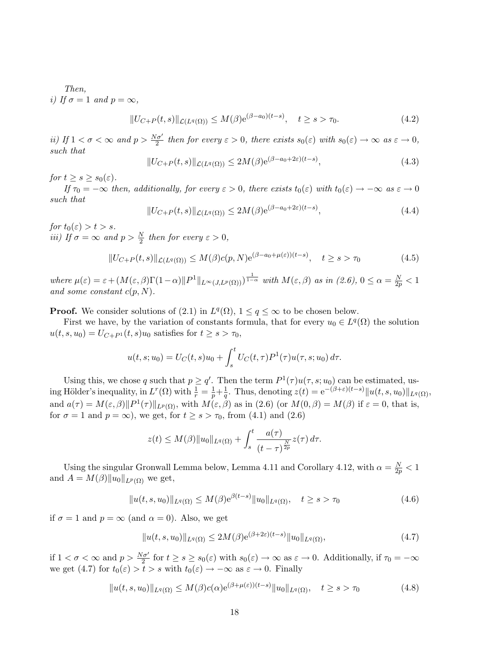Then, i) If  $\sigma = 1$  and  $p = \infty$ ,

$$
||U_{C+P}(t,s)||_{\mathcal{L}(L^{q}(\Omega))} \leq M(\beta)e^{(\beta - a_0)(t-s)}, \quad t \geq s > \tau_0.
$$
\n(4.2)

ii) If  $1 < \sigma < \infty$  and  $p > \frac{N\sigma'}{2}$  then for every  $\varepsilon > 0$ , there exists  $s_0(\varepsilon)$  with  $s_0(\varepsilon) \to \infty$  as  $\varepsilon \to 0$ , such that

$$
||U_{C+P}(t,s)||_{\mathcal{L}(L^q(\Omega))} \le 2M(\beta)e^{(\beta - a_0 + 2\varepsilon)(t-s)}, \tag{4.3}
$$

for  $t \geq s \geq s_0(\varepsilon)$ .

If  $\tau_0 = -\infty$  then, additionally, for every  $\varepsilon > 0$ , there exists  $t_0(\varepsilon)$  with  $t_0(\varepsilon) \to -\infty$  as  $\varepsilon \to 0$ such that

$$
||U_{C+P}(t,s)||_{\mathcal{L}(L^{q}(\Omega))} \le 2M(\beta)e^{(\beta - a_0 + 2\varepsilon)(t-s)}, \qquad (4.4)
$$

for  $t_0(\varepsilon) > t > s$ . *iii*) If  $\sigma = \infty$  and  $p > \frac{N}{2}$  then for every  $\varepsilon > 0$ ,

$$
||U_{C+P}(t,s)||_{\mathcal{L}(L^q(\Omega))} \le M(\beta)c(p,N)e^{(\beta-a_0+\mu(\varepsilon))(t-s)}, \quad t \ge s > \tau_0
$$
\n
$$
(4.5)
$$

where  $\mu(\varepsilon) = \varepsilon + (M(\varepsilon, \beta)\Gamma(1-\alpha) ||P^1||_{L^{\infty}(J, L^p(\Omega))})^{\frac{1}{1-\alpha}}$  with  $M(\varepsilon, \beta)$  as in  $(2.6)$ ,  $0 \le \alpha = \frac{N}{2p} < 1$ and some constant  $c(p, N)$ .

**Proof.** We consider solutions of (2.1) in  $L^q(\Omega)$ ,  $1 \leq q \leq \infty$  to be chosen below.

First we have, by the variation of constants formula, that for every  $u_0 \in L^q(\Omega)$  the solution  $u(t, s, u_0) = U_{C+P^1}(t, s)u_0$  satisfies for  $t \ge s > \tau_0$ ,

$$
u(t, s; u_0) = U_C(t, s)u_0 + \int_s^t U_C(t, \tau) P^{1}(\tau) u(\tau, s; u_0) d\tau.
$$

Using this, we chose q such that  $p \ge q'$ . Then the term  $P^1(\tau)u(\tau, s; u_0)$  can be estimated, using Hölder's inequality, in  $L^r(\Omega)$  with  $\frac{1}{r} = \frac{1}{p} + \frac{1}{q}$ . Thus, denoting  $z(t) = e^{-(\beta + \varepsilon)(t-s)} ||u(t, s, u_0)||_{L^q(\Omega)}$ , and  $a(\tau) = M(\varepsilon, \beta) \|P^1(\tau)\|_{L^p(\Omega)}$ , with  $M(\varepsilon, \beta)$  as in (2.6) (or  $M(0, \beta) = M(\beta)$  if  $\varepsilon = 0$ , that is, for  $\sigma = 1$  and  $p = \infty$ ), we get, for  $t \ge s > \tau_0$ , from (4.1) and (2.6)

$$
z(t) \leq M(\beta) \|u_0\|_{L^q(\Omega)} + \int_s^t \frac{a(\tau)}{(t-\tau)^{\frac{N}{2p}}} z(\tau) d\tau.
$$

Using the singular Gronwall Lemma below, Lemma 4.11 and Corollary 4.12, with  $\alpha = \frac{N}{2p} < 1$ and  $A = M(\beta) ||u_0||_{L^p(\Omega)}$  we get,

$$
||u(t,s,u_0)||_{L^q(\Omega)} \le M(\beta) e^{\beta(t-s)} ||u_0||_{L^q(\Omega)}, \quad t \ge s > \tau_0
$$
\n(4.6)

if  $\sigma = 1$  and  $p = \infty$  (and  $\alpha = 0$ ). Also, we get

$$
||u(t,s,u_0)||_{L^q(\Omega)} \le 2M(\beta)e^{(\beta+2\varepsilon)(t-s)}||u_0||_{L^q(\Omega)},
$$
\n(4.7)

if  $1 < \sigma < \infty$  and  $p > \frac{N\sigma'}{2}$  for  $t \ge s \ge s_0(\varepsilon)$  with  $s_0(\varepsilon) \to \infty$  as  $\varepsilon \to 0$ . Additionally, if  $\tau_0 = -\infty$ we get (4.7) for  $t_0(\varepsilon) > t > s$  with  $t_0(\varepsilon) \to -\infty$  as  $\varepsilon \to 0$ . Finally

$$
||u(t,s,u_0)||_{L^q(\Omega)} \le M(\beta)c(\alpha)e^{(\beta+\mu(\varepsilon))(t-s)}||u_0||_{L^q(\Omega)}, \quad t \ge s > \tau_0
$$
\n(4.8)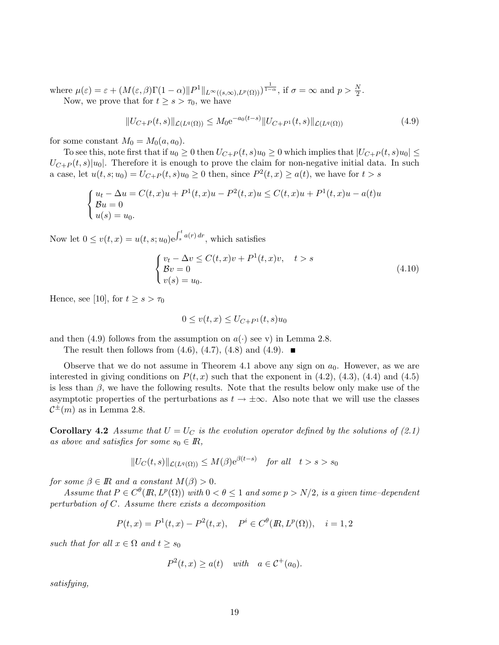where  $\mu(\varepsilon) = \varepsilon + (M(\varepsilon, \beta) \Gamma(1-\alpha) ||P^1||_{L^{\infty}((s,\infty),L^p(\Omega))})^{\frac{1}{1-\alpha}},$  if  $\sigma = \infty$  and  $p > \frac{N}{2}$ . Now, we prove that for  $t \geq s > \tau_0$ , we have

$$
||U_{C+P}(t,s)||_{\mathcal{L}(L^{q}(\Omega))} \leq M_0 e^{-a_0(t-s)} ||U_{C+P^1}(t,s)||_{\mathcal{L}(L^{q}(\Omega))}
$$
\n(4.9)

for some constant  $M_0 = M_0(a, a_0)$ .

To see this, note first that if  $u_0 \ge 0$  then  $U_{C+P}(t, s)u_0 \ge 0$  which implies that  $|U_{C+P}(t, s)u_0| \le$  $U_{C+P}(t, s)|u_0|$ . Therefore it is enough to prove the claim for non-negative initial data. In such a case, let  $u(t, s; u_0) = U_{C+P}(t, s)u_0 \ge 0$  then, since  $P^2(t, x) \ge a(t)$ , we have for  $t > s$ 

$$
\begin{cases} u_t - \Delta u = C(t, x)u + P^1(t, x)u - P^2(t, x)u \le C(t, x)u + P^1(t, x)u - a(t)u \\ \mathcal{B}u = 0 \\ u(s) = u_0. \end{cases}
$$

Now let  $0 \le v(t, x) = u(t, s; u_0) e^{\int_s^t a(r) dr}$ , which satisfies

$$
\begin{cases}\nv_t - \Delta v \le C(t, x)v + P^1(t, x)v, & t > s \\
\mathcal{B}v = 0 & v(s) = u_0.\n\end{cases}\n\tag{4.10}
$$

Hence, see [10], for  $t \geq s > \tau_0$ 

$$
0 \le v(t, x) \le U_{C+P^1}(t, s)u_0
$$

and then (4.9) follows from the assumption on  $a(\cdot)$  see v) in Lemma 2.8.

The result then follows from  $(4.6)$ ,  $(4.7)$ ,  $(4.8)$  and  $(4.9)$ .

Observe that we do not assume in Theorem 4.1 above any sign on  $a_0$ . However, as we are interested in giving conditions on  $P(t, x)$  such that the exponent in (4.2), (4.3), (4.4) and (4.5) is less than  $\beta$ , we have the following results. Note that the results below only make use of the asymptotic properties of the perturbations as  $t \to \pm \infty$ . Also note that we will use the classes  $\mathcal{C}^{\pm}(m)$  as in Lemma 2.8.

**Corollary 4.2** Assume that  $U = U_C$  is the evolution operator defined by the solutions of (2.1) as above and satisfies for some  $s_0 \in \mathbb{R}$ ,

$$
||U_C(t,s)||_{\mathcal{L}(L^q(\Omega))} \le M(\beta) e^{\beta(t-s)} \quad \text{for all} \quad t > s > s_0
$$

for some  $\beta \in \mathbb{R}$  and a constant  $M(\beta) > 0$ .

Assume that  $P \in C^{\theta}(R, L^p(\Omega))$  with  $0 < \theta \leq 1$  and some  $p > N/2$ , is a given time-dependent perturbation of C. Assume there exists a decomposition

$$
P(t,x) = P^{1}(t,x) - P^{2}(t,x), \quad P^{i} \in C^{\theta}(I\!\!R, L^{p}(\Omega)), \quad i = 1, 2
$$

such that for all  $x \in \Omega$  and  $t \geq s_0$ 

$$
P^2(t, x) \ge a(t) \quad \text{with} \quad a \in \mathcal{C}^+(a_0).
$$

satisfying,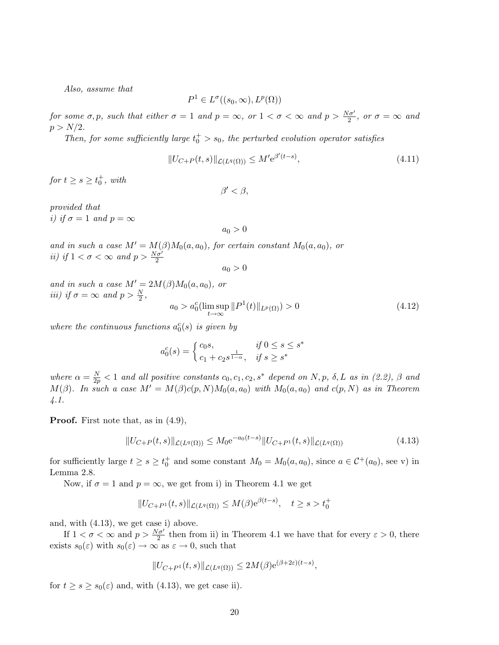Also, assume that

$$
P^1 \in L^{\sigma}((s_0, \infty), L^p(\Omega))
$$

for some  $\sigma, p$ , such that either  $\sigma = 1$  and  $p = \infty$ , or  $1 < \sigma < \infty$  and  $p > \frac{N\sigma'}{2}$ , or  $\sigma = \infty$  and  $p > N/2$ .

Then, for some sufficiently large  $t_0^+ > s_0$ , the perturbed evolution operator satisfies

$$
||U_{C+P}(t,s)||_{\mathcal{L}(L^{q}(\Omega))} \leq M' e^{\beta'(t-s)},
$$
\n(4.11)

for  $t \geq s \geq t_0^+$ , with

$$
\beta' < \beta,
$$

provided that i) if  $\sigma = 1$  and  $p = \infty$ 

$$
a_0 > 0
$$

and in such a case  $M' = M(\beta)M_0(a, a_0)$ , for certain constant  $M_0(a, a_0)$ , or ii) if  $1 < \sigma < \infty$  and  $p > \frac{N\sigma'}{2}$ 

$$
a_0 > 0
$$

and in such a case  $M' = 2M(\beta)M_0(a, a_0)$ , or iii) if  $\sigma = \infty$  and  $p > \frac{N}{2}$ ,

$$
a_0 > a_0^c(\limsup_{t \to \infty} ||P^1(t)||_{L^p(\Omega)}) > 0
$$
\n(4.12)

where the continuous functions  $a_0^c(s)$  is given by

$$
a_0^c(s) = \begin{cases} c_0s, & \text{if } 0 \le s \le s^* \\ c_1 + c_2s^{\frac{1}{1-\alpha}}, & \text{if } s \ge s^* \end{cases}
$$

where  $\alpha = \frac{N}{2p} < 1$  and all positive constants  $c_0, c_1, c_2, s^*$  depend on N, p,  $\delta$ , L as in (2.2),  $\beta$  and  $M(\beta)$ . In such a case  $M' = M(\beta)c(p, N)M_0(a, a_0)$  with  $M_0(a, a_0)$  and  $c(p, N)$  as in Theorem 4.1.

Proof. First note that, as in (4.9),

$$
||U_{C+P}(t,s)||_{\mathcal{L}(L^{q}(\Omega))} \leq M_0 e^{-a_0(t-s)} ||U_{C+P^1}(t,s)||_{\mathcal{L}(L^{q}(\Omega))}
$$
\n(4.13)

for sufficiently large  $t \ge s \ge t_0^+$  and some constant  $M_0 = M_0(a, a_0)$ , since  $a \in C^+(a_0)$ , see v) in Lemma 2.8.

Now, if  $\sigma = 1$  and  $p = \infty$ , we get from i) in Theorem 4.1 we get

$$
||U_{C+P^{1}}(t,s)||_{\mathcal{L}(L^{q}(\Omega))} \leq M(\beta)e^{\beta(t-s)}, \quad t \geq s > t_{0}^{+}
$$

and, with (4.13), we get case i) above.

If  $1 < \sigma < \infty$  and  $p > \frac{N\sigma'}{2}$  then from ii) in Theorem 4.1 we have that for every  $\varepsilon > 0$ , there exists  $s_0(\varepsilon)$  with  $s_0(\varepsilon) \to \infty$  as  $\varepsilon \to 0$ , such that

$$
||U_{C+P^1}(t,s)||_{\mathcal{L}(L^q(\Omega))} \leq 2M(\beta)e^{(\beta+2\varepsilon)(t-s)},
$$

for  $t \geq s \geq s_0(\varepsilon)$  and, with (4.13), we get case ii).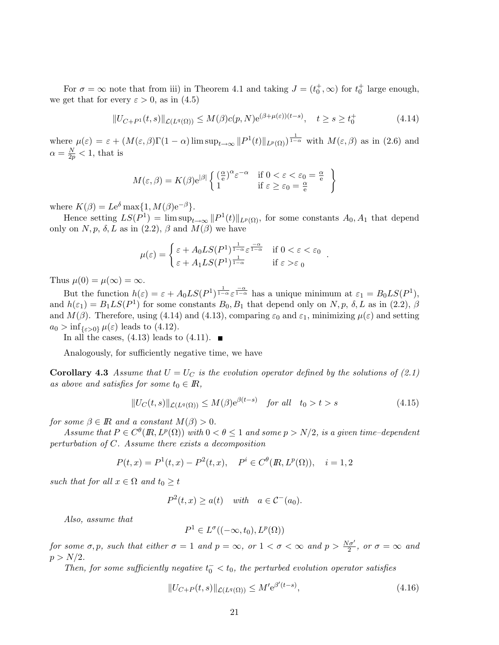For  $\sigma = \infty$  note that from iii) in Theorem 4.1 and taking  $J = (t_0^+, \infty)$  for  $t_0^+$  large enough, we get that for every  $\varepsilon > 0$ , as in (4.5)

$$
||U_{C+P^{1}}(t,s)||_{\mathcal{L}(L^{q}(\Omega))} \leq M(\beta)c(p,N)e^{(\beta+\mu(\varepsilon))(t-s)}, \quad t \geq s \geq t_{0}^{+}
$$
\n(4.14)

where  $\mu(\varepsilon) = \varepsilon + (M(\varepsilon, \beta)\Gamma(1-\alpha)\limsup_{t\to\infty} ||P^1(t)||_{L^p(\Omega)})^{\frac{1}{1-\alpha}}$  with  $M(\varepsilon, \beta)$  as in (2.6) and  $\alpha = \frac{N}{2p} < 1$ , that is

$$
M(\varepsilon, \beta) = K(\beta) e^{|\beta|} \left\{ \begin{array}{ll} \left(\frac{\alpha}{e}\right)^{\alpha} \varepsilon^{-\alpha} & \text{if } 0 < \varepsilon < \varepsilon_0 = \frac{\alpha}{e} \\ 1 & \text{if } \varepsilon \ge \varepsilon_0 = \frac{\alpha}{e} \end{array} \right\}
$$

where  $K(\beta) = Le^{\delta} \max\{1, M(\beta)e^{-\beta}\}.$ 

Hence setting  $LS(\tilde{P}^1) = \limsup_{t\to\infty} ||P^1(t)||_{L^p(\Omega)}$ , for some constants  $A_0, A_1$  that depend only on N, p,  $\delta$ , L as in (2.2),  $\beta$  and  $M(\beta)$  we have

$$
\mu(\varepsilon) = \begin{cases} \varepsilon + A_0 L S(P^1)^{\frac{1}{1-\alpha}} \varepsilon^{\frac{-\alpha}{1-\alpha}} & \text{if } 0 < \varepsilon < \varepsilon_0 \\ \varepsilon + A_1 L S(P^1)^{\frac{1}{1-\alpha}} & \text{if } \varepsilon > \varepsilon_0 \end{cases}
$$

Thus  $\mu(0) = \mu(\infty) = \infty$ .

But the function  $h(\varepsilon) = \varepsilon + A_0 L S(P^1)^{\frac{1}{1-\alpha}} \varepsilon^{\frac{-\alpha}{1-\alpha}}$  has a unique minimum at  $\varepsilon_1 = B_0 L S(P^1)$ , and  $h(\varepsilon_1) = B_1LS(P^1)$  for some constants  $B_0, B_1$  that depend only on N, p,  $\delta$ , L as in (2.2),  $\beta$ and  $M(\beta)$ . Therefore, using (4.14) and (4.13), comparing  $\varepsilon_0$  and  $\varepsilon_1$ , minimizing  $\mu(\varepsilon)$  and setting  $a_0 > \inf_{\{\varepsilon > 0\}} \mu(\varepsilon)$  leads to (4.12).

In all the cases,  $(4.13)$  leads to  $(4.11)$ .

Analogously, for sufficiently negative time, we have

**Corollary 4.3** Assume that  $U = U_C$  is the evolution operator defined by the solutions of (2.1) as above and satisfies for some  $t_0 \in \mathbb{R}$ ,

$$
||U_C(t,s)||_{\mathcal{L}(L^q(\Omega))} \le M(\beta) e^{\beta(t-s)} \quad \text{for all} \quad t_0 > t > s \tag{4.15}
$$

.

for some  $\beta \in \mathbb{R}$  and a constant  $M(\beta) > 0$ .

Assume that  $P \in C^{\theta}(R, L^p(\Omega))$  with  $0 < \theta \leq 1$  and some  $p > N/2$ , is a given time-dependent perturbation of C. Assume there exists a decomposition

$$
P(t,x) = P^{1}(t,x) - P^{2}(t,x), \quad P^{i} \in C^{\theta}(I\!\!R, L^{p}(\Omega)), \quad i = 1, 2
$$

such that for all  $x \in \Omega$  and  $t_0 \ge t$ 

$$
P^2(t, x) \ge a(t) \quad \text{with} \quad a \in \mathcal{C}^-(a_0).
$$

Also, assume that

$$
P^1 \in L^{\sigma}((-\infty, t_0), L^p(\Omega))
$$

for some  $\sigma, p$ , such that either  $\sigma = 1$  and  $p = \infty$ , or  $1 < \sigma < \infty$  and  $p > \frac{N\sigma'}{2}$ , or  $\sigma = \infty$  and  $p > N/2$ .

Then, for some sufficiently negative  $t_0^- < t_0$ , the perturbed evolution operator satisfies

$$
||U_{C+P}(t,s)||_{\mathcal{L}(L^{q}(\Omega))} \leq M' e^{\beta'(t-s)},
$$
\n(4.16)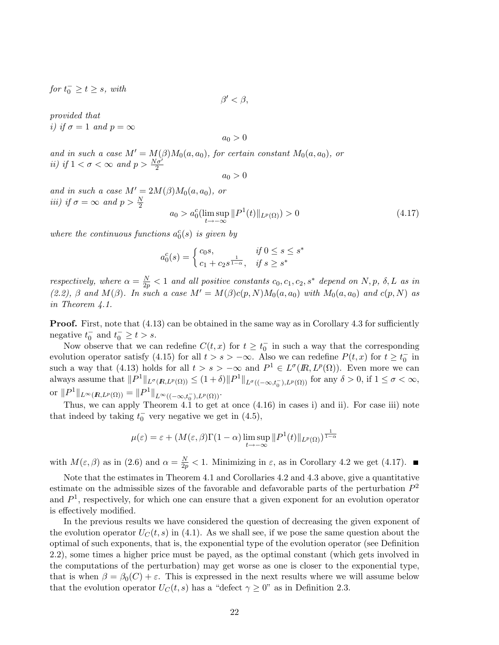$for t_0^- \geq t \geq s$ , with

$$
\beta'<\beta,
$$

provided that i) if  $\sigma = 1$  and  $p = \infty$ 

 $a_0 > 0$ 

and in such a case  $M' = M(\beta)M_0(a, a_0)$ , for certain constant  $M_0(a, a_0)$ , or ii) if  $1 < \sigma < \infty$  and  $p > \frac{N\sigma'}{2}$ 

$$
a_0 > 0
$$

and in such a case  $M' = 2M(\beta)M_0(a, a_0)$ , or iii) if  $\sigma = \infty$  and  $p > \frac{N}{2}$ 

$$
a_0 > a_0^c(\limsup_{t \to -\infty} ||P^1(t)||_{L^p(\Omega)}) > 0
$$
\n(4.17)

where the continuous functions  $a_0^c(s)$  is given by

$$
a_0^c(s) = \begin{cases} c_0 s, & \text{if } 0 \le s \le s^* \\ c_1 + c_2 s^{\frac{1}{1-\alpha}}, & \text{if } s \ge s^* \end{cases}
$$

respectively, where  $\alpha = \frac{N}{2p} < 1$  and all positive constants  $c_0, c_1, c_2, s^*$  depend on  $N, p, \delta, L$  as in (2.2), β and  $M(\beta)$ . In such a case  $M' = M(\beta)c(p, N)M_0(a, a_0)$  with  $M_0(a, a_0)$  and  $c(p, N)$  as in Theorem 4.1.

**Proof.** First, note that  $(4.13)$  can be obtained in the same way as in Corollary 4.3 for sufficiently negative  $t_0^-$  and  $t_0^- \ge t > s$ .

Now observe that we can redefine  $C(t, x)$  for  $t \geq t_0^-$  in such a way that the corresponding evolution operator satisfy (4.15) for all  $t > s > -\infty$ . Also we can redefine  $P(t, x)$  for  $t \geq t_0^-$  in such a way that (4.13) holds for all  $t>s> -\infty$  and  $P^1 \in L^{\sigma}(I\!\!R, L^p(\Omega))$ . Even more we can always assume that  $||P^1||_{L^{\sigma}(R,L^p(\Omega))} \leq (1+\delta)||P^1||_{L^{\sigma}((-\infty,t_0^-),L^p(\Omega))}$  for any  $\delta > 0$ , if  $1 \leq \sigma < \infty$ , or  $||P^1||_{L^{\infty}(\mathbb{R}, L^p(\Omega))} = ||P^1||_{L^{\infty}((-\infty, t_0^-), L^p(\Omega))}.$ 

Thus, we can apply Theorem 4.1 to get at once  $(4.16)$  in cases i) and ii). For case iii) note that indeed by taking  $t_0^-$  very negative we get in (4.5),

$$
\mu(\varepsilon) = \varepsilon + (M(\varepsilon, \beta) \Gamma(1-\alpha) \limsup_{t \to -\infty} ||P^1(t)||_{L^p(\Omega)})^{\frac{1}{1-\alpha}}
$$

with  $M(\varepsilon, \beta)$  as in (2.6) and  $\alpha = \frac{N}{2p} < 1$ . Minimizing in  $\varepsilon$ , as in Corollary 4.2 we get (4.17).

Note that the estimates in Theorem 4.1 and Corollaries 4.2 and 4.3 above, give a quantitative estimate on the admissible sizes of the favorable and defavorable parts of the perturbation  $P<sup>2</sup>$ and  $P<sup>1</sup>$ , respectively, for which one can ensure that a given exponent for an evolution operator is effectively modified.

In the previous results we have considered the question of decreasing the given exponent of the evolution operator  $U_C(t, s)$  in (4.1). As we shall see, if we pose the same question about the optimal of such exponents, that is, the exponential type of the evolution operator (see Definition 2.2), some times a higher price must be payed, as the optimal constant (which gets involved in the computations of the perturbation) may get worse as one is closer to the exponential type, that is when  $\beta = \beta_0(C) + \varepsilon$ . This is expressed in the next results where we will assume below that the evolution operator  $U_C(t, s)$  has a "defect  $\gamma \geq 0$ " as in Definition 2.3.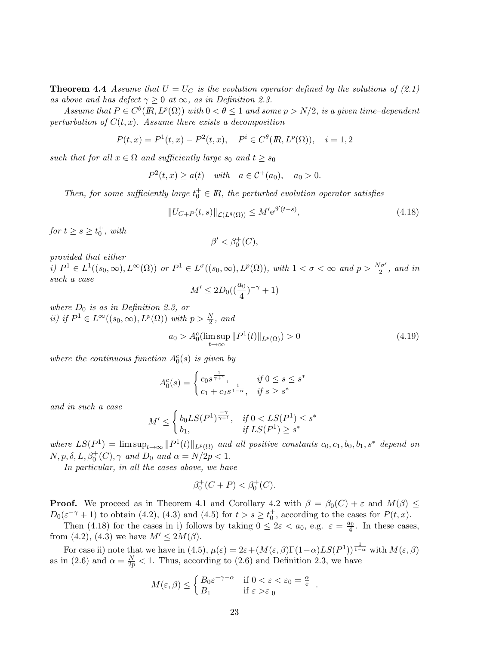**Theorem 4.4** Assume that  $U = U_C$  is the evolution operator defined by the solutions of (2.1) as above and has defect  $\gamma \geq 0$  at  $\infty$ , as in Definition 2.3.

Assume that  $P \in C^{\theta}(R, L^p(\Omega))$  with  $0 < \theta \leq 1$  and some  $p > N/2$ , is a given time-dependent perturbation of  $C(t, x)$ . Assume there exists a decomposition

$$
P(t,x) = P^{1}(t,x) - P^{2}(t,x), \quad P^{i} \in C^{\theta}(R, L^{p}(\Omega)), \quad i = 1, 2
$$

such that for all  $x \in \Omega$  and sufficiently large  $s_0$  and  $t \geq s_0$ 

 $P^{2}(t, x) > a(t)$  with  $a \in C^{+}(a_0), a_0 > 0.$ 

Then, for some sufficiently large  $t_0^+ \in \mathbb{R}$ , the perturbed evolution operator satisfies

$$
||U_{C+P}(t,s)||_{\mathcal{L}(L^{q}(\Omega))} \leq M' e^{\beta'(t-s)},
$$
\n(4.18)

for  $t \geq s \geq t_0^+$ , with

 $\beta' < \beta_0^+(C)$ ,

provided that either

i)  $P^1 \in L^1((s_0, \infty), L^{\infty}(\Omega))$  or  $P^1 \in L^{\sigma}((s_0, \infty), L^p(\Omega))$ , with  $1 < \sigma < \infty$  and  $p > \frac{N\sigma'}{2}$ , and in such a case

$$
M'\leq 2D_0((\frac{a_0}{4})^{-\gamma}+1)
$$

where  $D_0$  is as in Definition 2.3, or ii) if  $P^1 \in L^{\infty}((s_0, \infty), L^p(\Omega))$  with  $p > \frac{N}{2}$ , and

$$
a_0 > A_0^c(\limsup_{t \to \infty} ||P^1(t)||_{L^p(\Omega)}) > 0
$$
\n(4.19)

where the continuous function  $A_0^c(s)$  is given by

$$
A_0^c(s) = \begin{cases} c_0 s^{\frac{1}{\gamma + 1}}, & \text{if } 0 \le s \le s^* \\ c_1 + c_2 s^{\frac{1}{1 - \alpha}}, & \text{if } s \ge s^* \end{cases}
$$

and in such a case

$$
M' \le \begin{cases} b_0 LS(P^1)^{\frac{-\gamma}{\gamma+1}}, & \text{if } 0 < LS(P^1) \le s^* \\ b_1, & \text{if } LS(P^1) \ge s^* \end{cases}
$$

where  $LS(P^1) = \limsup_{t\to\infty} ||P^1(t)||_{L^p(\Omega)}$  and all positive constants  $c_0, c_1, b_0, b_1, s^*$  depend on  $N, p, \delta, L, \beta_0^+(C), \gamma \text{ and } D_0 \text{ and } \alpha = N/2p < 1.$ 

In particular, in all the cases above, we have

$$
\beta_0^+(C+P) < \beta_0^+(C).
$$

**Proof.** We proceed as in Theorem 4.1 and Corollary 4.2 with  $\beta = \beta_0(C) + \varepsilon$  and  $M(\beta) \leq$  $D_0(\varepsilon^{-\gamma}+1)$  to obtain (4.2), (4.3) and (4.5) for  $t > s \ge t_0^+$ , according to the cases for  $P(t, x)$ .

Then (4.18) for the cases in i) follows by taking  $0 \leq 2\varepsilon < a_0$ , e.g.  $\varepsilon = \frac{a_0}{4}$ . In these cases, from (4.2), (4.3) we have  $M' \leq 2M(\beta)$ .

For case ii) note that we have in (4.5),  $\mu(\varepsilon) = 2\varepsilon + (M(\varepsilon, \beta)\Gamma(1-\alpha)LS(P^1))^{\frac{1}{1-\alpha}}$  with  $M(\varepsilon, \beta)$ as in (2.6) and  $\alpha = \frac{N}{2p} < 1$ . Thus, according to (2.6) and Definition 2.3, we have

$$
M(\varepsilon, \beta) \le \begin{cases} B_0 \varepsilon^{-\gamma - \alpha} & \text{if } 0 < \varepsilon < \varepsilon_0 = \frac{\alpha}{e} \\ B_1 & \text{if } \varepsilon > \varepsilon_0 \end{cases}.
$$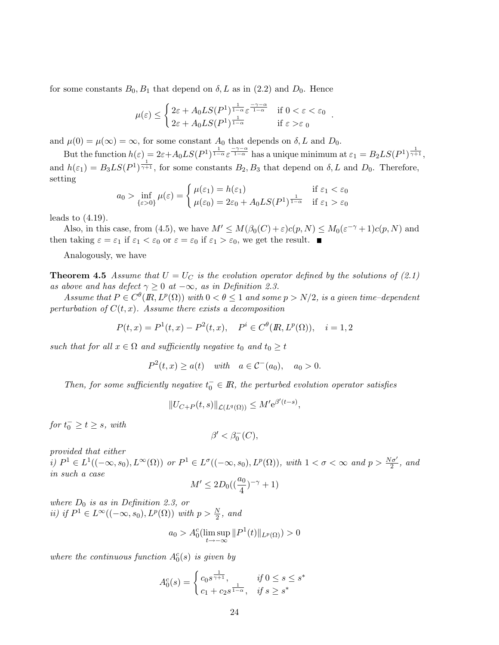for some constants  $B_0, B_1$  that depend on  $\delta, L$  as in (2.2) and  $D_0$ . Hence

$$
\mu(\varepsilon) \le \begin{cases} 2\varepsilon + A_0 LS(P^1)^{\frac{1}{1-\alpha}} \varepsilon^{\frac{-\gamma-\alpha}{1-\alpha}} & \text{if } 0 < \varepsilon < \varepsilon_0 \\ 2\varepsilon + A_0 LS(P^1)^{\frac{1}{1-\alpha}} & \text{if } \varepsilon > \varepsilon_0 \end{cases}.
$$

and  $\mu(0) = \mu(\infty) = \infty$ , for some constant  $A_0$  that depends on  $\delta$ , L and  $D_0$ .

But the function  $h(\varepsilon) = 2\varepsilon + A_0LS(P^1)^{\frac{1}{1-\alpha}}\varepsilon^{\frac{-\gamma-\alpha}{1-\alpha}}$  has a unique minimum at  $\varepsilon_1 = B_2LS(P^1)^{\frac{1}{\gamma+1}},$ and  $h(\varepsilon_1) = B_3LS(P^1)^{\frac{1}{\gamma+1}}$ , for some constants  $B_2, B_3$  that depend on  $\delta, L$  and  $D_0$ . Therefore, setting

$$
a_0 > \inf_{\{\varepsilon > 0\}} \mu(\varepsilon) = \begin{cases} \mu(\varepsilon_1) = h(\varepsilon_1) & \text{if } \varepsilon_1 < \varepsilon_0 \\ \mu(\varepsilon_0) = 2\varepsilon_0 + A_0 LS(P^1)^{\frac{1}{1-\alpha}} & \text{if } \varepsilon_1 > \varepsilon_0 \end{cases}
$$

leads to  $(4.19)$ .

Also, in this case, from (4.5), we have  $M' \leq M(\beta_0(C) + \varepsilon)c(p, N) \leq M_0(\varepsilon^{-\gamma} + 1)c(p, N)$  and then taking  $\varepsilon = \varepsilon_1$  if  $\varepsilon_1 < \varepsilon_0$  or  $\varepsilon = \varepsilon_0$  if  $\varepsilon_1 > \varepsilon_0$ , we get the result.

Analogously, we have

**Theorem 4.5** Assume that  $U = U_C$  is the evolution operator defined by the solutions of (2.1) as above and has defect  $\gamma \geq 0$  at  $-\infty$ , as in Definition 2.3.

Assume that  $P \in C^{\theta}(R, L^p(\Omega))$  with  $0 < \theta \leq 1$  and some  $p > N/2$ , is a given time-dependent perturbation of  $C(t, x)$ . Assume there exists a decomposition

$$
P(t,x) = P^{1}(t,x) - P^{2}(t,x), \quad P^{i} \in C^{\theta}(I\!\!R, L^{p}(\Omega)), \quad i = 1, 2
$$

such that for all  $x \in \Omega$  and sufficiently negative  $t_0$  and  $t_0 \geq t$ 

$$
P^{2}(t, x) \ge a(t)
$$
 with  $a \in C^{-}(a_0)$ ,  $a_0 > 0$ .

Then, for some sufficiently negative  $t_0^- \in \mathbb{R}$ , the perturbed evolution operator satisfies

$$
||U_{C+P}(t,s)||_{\mathcal{L}(L^q(\Omega))} \leq M' e^{\beta'(t-s)},
$$

 $for t_0^- \geq t \geq s$ , with

$$
\beta' < \beta_0^-(C),
$$

provided that either

i)  $P^1 \in L^1((-\infty, s_0), L^{\infty}(\Omega))$  or  $P^1 \in L^{\sigma}((-\infty, s_0), L^p(\Omega))$ , with  $1 < \sigma < \infty$  and  $p > \frac{N\sigma'}{2}$ , and in such a case

$$
M' \le 2D_0((\frac{a_0}{4})^{-\gamma} + 1)
$$

where  $D_0$  is as in Definition 2.3, or ii) if  $P^1 \in L^{\infty}((-\infty, s_0), L^p(\Omega))$  with  $p > \frac{N}{2}$ , and

$$
a_0 > A_0^c(\limsup_{t \to -\infty} ||P^1(t)||_{L^p(\Omega)}) > 0
$$

where the continuous function  $A_0^c(s)$  is given by

$$
A_0^c(s) = \begin{cases} c_0 s^{\frac{1}{\gamma + 1}}, & \text{if } 0 \le s \le s^* \\ c_1 + c_2 s^{\frac{1}{1 - \alpha}}, & \text{if } s \ge s^* \end{cases}
$$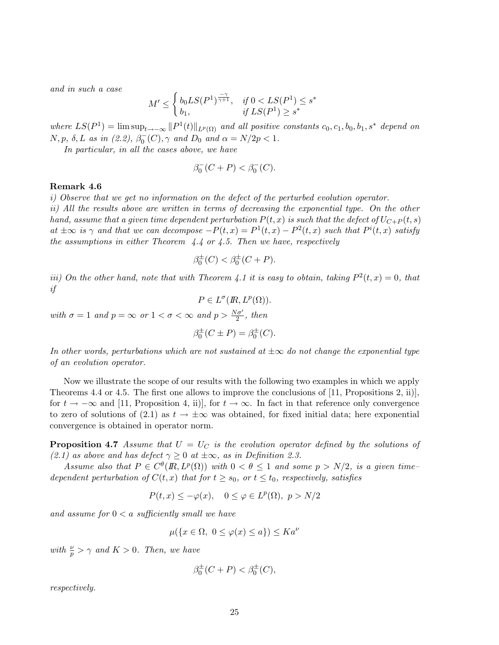and in such a case

$$
M' \le \begin{cases} b_0 LS(P^1)^{\frac{-\gamma}{\gamma+1}}, & \text{if } 0 < LS(P^1) \le s^* \\ b_1, & \text{if } LS(P^1) \ge s^* \end{cases}
$$

where  $LS(P^1) = \limsup_{t\to-\infty} ||P^1(t)||_{L^p(\Omega)}$  and all positive constants  $c_0, c_1, b_0, b_1, s^*$  depend on  $N, p, \delta, L$  as in (2.2),  $\beta_0^-(C), \gamma$  and  $D_0$  and  $\alpha = N/2p < 1$ .

In particular, in all the cases above, we have

$$
\beta_0^-(C+P) < \beta_0^-(C).
$$

#### Remark 4.6

i) Observe that we get no information on the defect of the perturbed evolution operator.

ii) All the results above are written in terms of decreasing the exponential type. On the other hand, assume that a given time dependent perturbation  $P(t, x)$  is such that the defect of  $U_{C+P}(t, s)$ at  $\pm \infty$  is  $\gamma$  and that we can decompose  $-P(t,x) = P^1(t,x) - P^2(t,x)$  such that  $P^i(t,x)$  satisfy the assumptions in either Theorem  $4.4$  or  $4.5$ . Then we have, respectively

$$
\beta_0^{\pm}(C) < \beta_0^{\pm}(C+P).
$$

iii) On the other hand, note that with Theorem 4.1 it is easy to obtain, taking  $P^2(t, x) = 0$ , that if

$$
P\in L^{\sigma}(I\!\!R,L^p(\Omega)).
$$

with  $\sigma = 1$  and  $p = \infty$  or  $1 < \sigma < \infty$  and  $p > \frac{N\sigma'}{2}$ , then

$$
\beta_0^{\pm}(C \pm P) = \beta_0^{\pm}(C).
$$

In other words, perturbations which are not sustained at  $\pm \infty$  do not change the exponential type of an evolution operator.

Now we illustrate the scope of our results with the following two examples in which we apply Theorems 4.4 or 4.5. The first one allows to improve the conclusions of [11, Propositions 2, ii)], for  $t \to -\infty$  and [11, Proposition 4, ii)], for  $t \to \infty$ . In fact in that reference only convergence to zero of solutions of (2.1) as  $t \to \pm \infty$  was obtained, for fixed initial data; here exponential convergence is obtained in operator norm.

**Proposition 4.7** Assume that  $U = U_C$  is the evolution operator defined by the solutions of (2.1) as above and has defect  $\gamma \geq 0$  at  $\pm \infty$ , as in Definition 2.3.

Assume also that  $P \in C^{\theta}(R, L^p(\Omega))$  with  $0 < \theta \leq 1$  and some  $p > N/2$ , is a given timedependent perturbation of  $C(t, x)$  that for  $t \geq s_0$ , or  $t \leq t_0$ , respectively, satisfies

 $P(t, x) \le -\varphi(x), \quad 0 \le \varphi \in L^p(\Omega), \quad p > N/2$ 

and assume for  $0 < a$  sufficiently small we have

$$
\mu(\{x \in \Omega, \ 0 \le \varphi(x) \le a\}) \le Ka^{\nu}
$$

with  $\frac{\nu}{p} > \gamma$  and  $K > 0$ . Then, we have

$$
\beta_0^{\pm}(C+P) < \beta_0^{\pm}(C),
$$

respectively.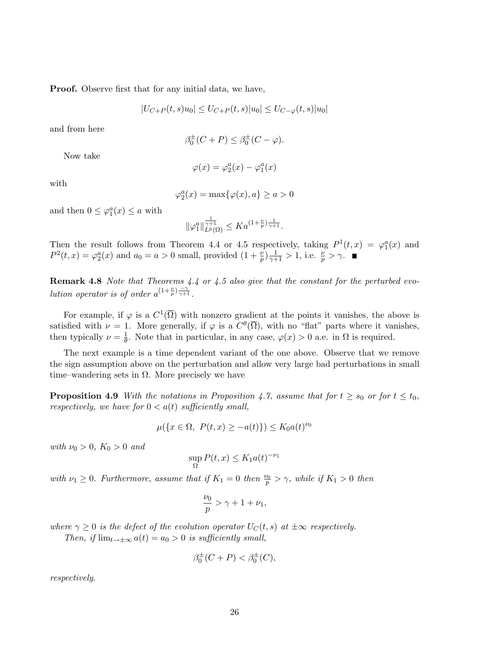Proof. Observe first that for any initial data, we have,

$$
|U_{C+P}(t,s)u_0| \le U_{C+P}(t,s)|u_0| \le U_{C-\varphi}(t,s)|u_0|
$$

and from here

$$
\beta_0^{\pm}(C+P) \leq \beta_0^{\pm}(C-\varphi).
$$

Now take

$$
\varphi(x)=\varphi_2^a(x)-\varphi_1^a(x)
$$

with

$$
\varphi_2^a(x) = \max\{\varphi(x), a\} \ge a > 0
$$

and then  $0 \leq \varphi_1^a(x) \leq a$  with

$$
\|\varphi_1^a\|_{L^p(\Omega)}^{\frac{1}{\gamma+1}} \leq K a^{(1+\frac{\nu}{p})\frac{1}{\gamma+1}}.
$$

Then the result follows from Theorem 4.4 or 4.5 respectively, taking  $P^1(t,x) = \varphi_1^a(x)$  and  $P^2(t,x) = \varphi_2^a(x)$  and  $a_0 = a > 0$  small, provided  $(1 + \frac{\nu}{p})\frac{1}{\gamma+1} > 1$ , i.e.  $\frac{\nu}{p} > \gamma$ .

**Remark 4.8** Note that Theorems 4.4 or 4.5 also give that the constant for the perturbed evolution operator is of order  $a^{(1+\frac{\nu}{p})\frac{-\gamma}{\gamma+1}}$ .

For example, if  $\varphi$  is a  $C^1(\overline{\Omega})$  with nonzero gradient at the points it vanishes, the above is satisfied with  $\nu = 1$ . More generally, if  $\varphi$  is a  $C^{\theta}(\overline{\Omega})$ , with no "flat" parts where it vanishes, then typically  $\nu = \frac{1}{\theta}$ . Note that in particular, in any case,  $\varphi(x) > 0$  a.e. in  $\Omega$  is required.

The next example is a time dependent variant of the one above. Observe that we remove the sign assumption above on the perturbation and allow very large bad perturbations in small time–wandering sets in  $\Omega$ . More precisely we have

**Proposition 4.9** With the notations in Proposition 4.7, assume that for  $t \geq s_0$  or for  $t \leq t_0$ , respectively, we have for  $0 < a(t)$  sufficiently small,

$$
\mu({x \in \Omega, P(t, x) \ge -a(t)}) \le K_0 a(t)^{\nu_0}
$$

with  $\nu_0 > 0$ ,  $K_0 > 0$  and

$$
\sup_{\Omega} P(t, x) \le K_1 a(t)^{-\nu_1}
$$

with  $\nu_1 \geq 0$ . Furthermore, assume that if  $K_1 = 0$  then  $\frac{\nu_0}{p} > \gamma$ , while if  $K_1 > 0$  then

$$
\frac{\nu_0}{p} > \gamma + 1 + \nu_1,
$$

where  $\gamma \geq 0$  is the defect of the evolution operator  $U_C(t, s)$  at  $\pm \infty$  respectively.

Then, if  $\lim_{t\to\pm\infty} a(t) = a_0 > 0$  is sufficiently small,

$$
\beta_0^{\pm}(C+P) < \beta_0^{\pm}(C),
$$

respectively.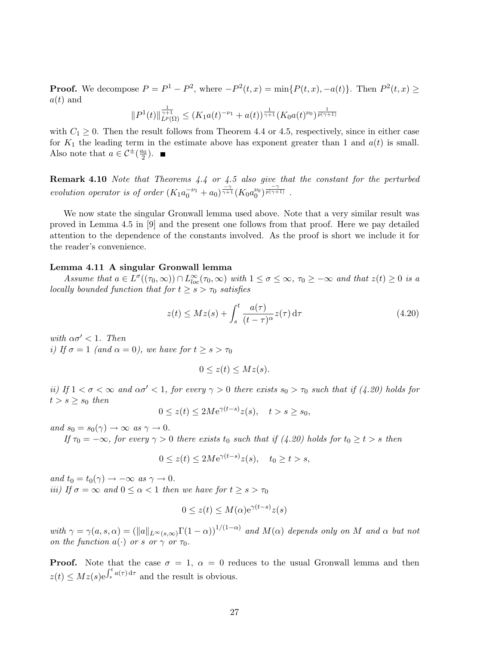**Proof.** We decompose  $P = P^1 - P^2$ , where  $-P^2(t, x) = \min\{P(t, x), -a(t)\}\$ . Then  $P^2(t, x) \ge$  $a(t)$  and

$$
||P^{1}(t)||_{L^{p}(\Omega)}^{\frac{1}{\gamma+1}} \leq (K_{1}a(t)^{-\nu_{1}} + a(t))^{\frac{1}{\gamma+1}}(K_{0}a(t)^{\nu_{0}})^{\frac{1}{p(\gamma+1)}}
$$

with  $C_1 \geq 0$ . Then the result follows from Theorem 4.4 or 4.5, respectively, since in either case for  $K_1$  the leading term in the estimate above has exponent greater than 1 and  $a(t)$  is small. Also note that  $a \in C^{\pm}(\frac{a_0}{2})$ .

Remark 4.10 Note that Theorems 4.4 or 4.5 also give that the constant for the perturbed evolution operator is of order  $(K_1a_0^{-\nu_1}+a_0)^{\frac{-\gamma}{\gamma+1}}(K_0a_0^{\nu_0})^{\frac{-\gamma}{p(\gamma+1)}}$ .

We now state the singular Gronwall lemma used above. Note that a very similar result was proved in Lemma 4.5 in [9] and the present one follows from that proof. Here we pay detailed attention to the dependence of the constants involved. As the proof is short we include it for the reader's convenience.

#### Lemma 4.11 A singular Gronwall lemma

Assume that  $a \in L^{\sigma}((\tau_0, \infty)) \cap L^{\infty}_{loc}(\tau_0, \infty)$  with  $1 \leq \sigma \leq \infty$ ,  $\tau_0 \geq -\infty$  and that  $z(t) \geq 0$  is a locally bounded function that for  $t \geq s > \tau_0$  satisfies

$$
z(t) \le Mz(s) + \int_{s}^{t} \frac{a(\tau)}{(t-\tau)^{\alpha}} z(\tau) d\tau
$$
\n(4.20)

with  $\alpha \sigma' < 1$ . Then i) If  $\sigma = 1$  (and  $\alpha = 0$ ), we have for  $t \geq s > \tau_0$ 

$$
0 \le z(t) \le Mz(s).
$$

ii) If  $1 < \sigma < \infty$  and  $\alpha \sigma' < 1$ , for every  $\gamma > 0$  there exists  $s_0 > \tau_0$  such that if (4.20) holds for  $t > s \geq s_0$  then

$$
0 \le z(t) \le 2M e^{\gamma(t-s)} z(s), \quad t > s \ge s_0,
$$

and  $s_0 = s_0(\gamma) \rightarrow \infty$  as  $\gamma \rightarrow 0$ .

If  $\tau_0 = -\infty$ , for every  $\gamma > 0$  there exists  $t_0$  such that if (4.20) holds for  $t_0 \ge t > s$  then

$$
0 \le z(t) \le 2M e^{\gamma(t-s)} z(s), \quad t_0 \ge t > s,
$$

and  $t_0 = t_0(\gamma) \rightarrow -\infty$  as  $\gamma \rightarrow 0$ . iii) If  $\sigma = \infty$  and  $0 \leq \alpha < 1$  then we have for  $t \geq s > \tau_0$ 

$$
0 \le z(t) \le M(\alpha) e^{\gamma(t-s)} z(s)
$$

with  $\gamma = \gamma(a,s,\alpha) = (\|a\|_{L^{\infty}(s,\infty)}\Gamma(1-\alpha))^{1/(1-\alpha)}$  and  $M(\alpha)$  depends only on M and  $\alpha$  but not on the function  $a(\cdot)$  or s or  $\gamma$  or  $\tau_0$ .

**Proof.** Note that the case  $\sigma = 1$ ,  $\alpha = 0$  reduces to the usual Gronwall lemma and then  $z(t) \leq Mz(s)e^{\int_s^t a(\tau) d\tau}$  and the result is obvious.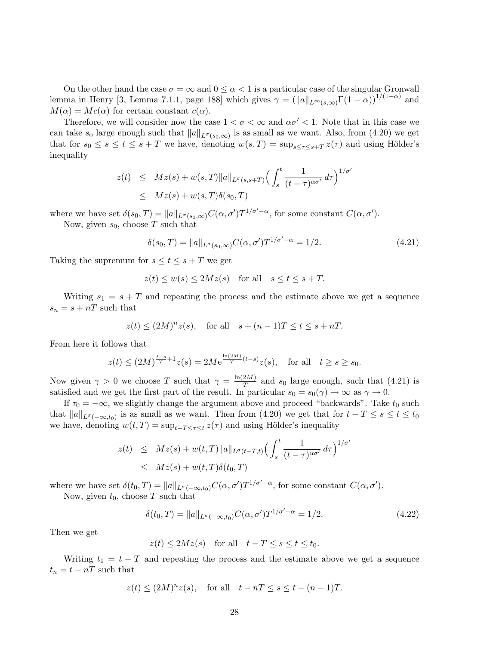On the other hand the case  $\sigma = \infty$  and  $0 \leq \alpha < 1$  is a particular case of the singular Gronwall lemma in Henry [3, Lemma 7.1.1, page 188] which gives  $\gamma = (\|a\|_{L^{\infty}(s,\infty)}\Gamma(1-\alpha))^{1/(1-\alpha)}$  and  $M(\alpha) = Mc(\alpha)$  for certain constant  $c(\alpha)$ .

Therefore, we will consider now the case  $1 < \sigma < \infty$  and  $\alpha \sigma' < 1$ . Note that in this case we can take  $s_0$  large enough such that  $||a||_{L^{\sigma}(s_0,\infty)}$  is as small as we want. Also, from (4.20) we get that for  $s_0 \leq s \leq t \leq s+T$  we have, denoting  $w(s,T) = \sup_{s \leq \tau \leq s+T} z(\tau)$  and using Hölder's inequality

$$
z(t) \leq Mz(s) + w(s,T) \|a\|_{L^{\sigma}(s,s+T)} \Big( \int_s^t \frac{1}{(t-\tau)^{\alpha\sigma'}} d\tau \Big)^{1/\sigma'}
$$
  

$$
\leq Mz(s) + w(s,T)\delta(s_0,T)
$$

where we have set  $\delta(s_0, T) = ||a||_{L^{\sigma}(s_0, \infty)} C(\alpha, \sigma') T^{1/\sigma'-\alpha}$ , for some constant  $C(\alpha, \sigma')$ . Now, given  $s_0$ , choose T such that

$$
\delta(s_0, T) = ||a||_{L^{\sigma}(s_0, \infty)} C(\alpha, \sigma') T^{1/\sigma' - \alpha} = 1/2.
$$
 (4.21)

Taking the supremum for  $s \le t \le s + T$  we get

$$
z(t) \le w(s) \le 2Mz(s) \quad \text{for all} \quad s \le t \le s + T.
$$

Writing  $s_1 = s + T$  and repeating the process and the estimate above we get a sequence  $s_n = s + nT$  such that

$$
z(t) \le (2M)^n z(s), \quad \text{for all} \quad s + (n-1)T \le t \le s + nT.
$$

From here it follows that

$$
z(t) \le (2M)^{\frac{t-s}{T}+1} z(s) = 2M e^{\frac{\ln(2M)}{T}(t-s)} z(s), \text{ for all } t \ge s \ge s_0.
$$

Now given  $\gamma > 0$  we choose T such that  $\gamma = \frac{\ln(2M)}{T}$  and  $s_0$  large enough, such that (4.21) is satisfied and we get the first part of the result. In particular  $s_0 = s_0(\gamma) \to \infty$  as  $\gamma \to 0$ .

If  $\tau_0 = -\infty$ , we slightly change the argument above and proceed "backwards". Take  $t_0$  such that  $||a||_{L^{\sigma}(-\infty,t_0)}$  is as small as we want. Then from (4.20) we get that for  $t - T \le s \le t \le t_0$ we have, denoting  $w(t,T) = \sup_{t-T \leq \tau \leq t} z(\tau)$  and using Hölder's inequality

$$
z(t) \leq Mz(s) + w(t,T) \|a\|_{L^{\sigma}(t-T,t)} \Big( \int_s^t \frac{1}{(t-\tau)^{\alpha\sigma'}} d\tau \Big)^{1/\sigma'}
$$
  
 
$$
\leq Mz(s) + w(t,T)\delta(t_0,T)
$$

where we have set  $\delta(t_0, T) = ||a||_{L^{\sigma}(-\infty, t_0)} C(\alpha, \sigma') T^{1/\sigma'-\alpha}$ , for some constant  $C(\alpha, \sigma')$ .

Now, given  $t_0$ , choose T such that

$$
\delta(t_0, T) = ||a||_{L^{\sigma}(-\infty, t_0)} C(\alpha, \sigma') T^{1/\sigma' - \alpha} = 1/2.
$$
 (4.22)

Then we get

$$
z(t) \le 2Mz(s) \quad \text{for all} \quad t - T \le s \le t \le t_0.
$$

Writing  $t_1 = t - T$  and repeating the process and the estimate above we get a sequence  $t_n = t - nT$  such that

$$
z(t) \le (2M)^n z(s), \quad \text{for all} \quad t - nT \le s \le t - (n - 1)T.
$$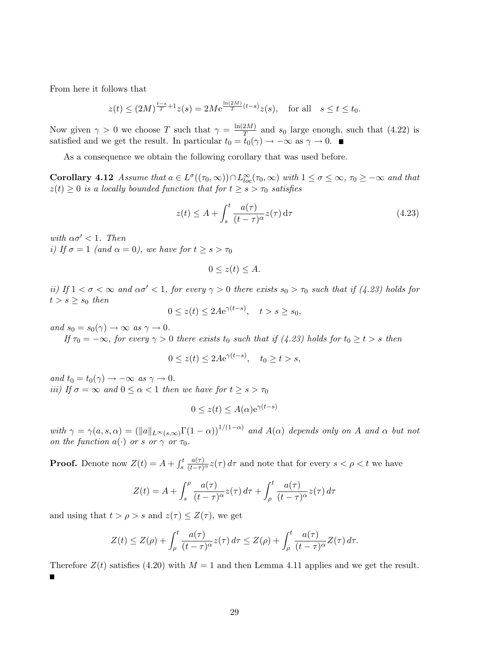From here it follows that

$$
z(t) \le (2M)^{\frac{t-s}{T} + 1} z(s) = 2M e^{\frac{\ln(2M)}{T} (t-s)} z(s), \text{ for all } s \le t \le t_0.
$$

Now given  $\gamma > 0$  we choose T such that  $\gamma = \frac{\ln(2M)}{T}$  and  $s_0$  large enough, such that (4.22) is satisfied and we get the result. In particular  $t_0 = t_0(\gamma) \rightarrow -\infty$  as  $\gamma \rightarrow 0$ .

As a consequence we obtain the following corollary that was used before.

**Corollary 4.12** Assume that  $a \in L^{\sigma}((\tau_0, \infty)) \cap L^{\infty}_{loc}(\tau_0, \infty)$  with  $1 \leq \sigma \leq \infty$ ,  $\tau_0 \geq -\infty$  and that  $z(t) \geq 0$  is a locally bounded function that for  $t \geq s > \tau_0$  satisfies

$$
z(t) \le A + \int_{s}^{t} \frac{a(\tau)}{(t-\tau)^{\alpha}} z(\tau) d\tau
$$
\n(4.23)

with  $\alpha \sigma' < 1$ . Then i) If  $\sigma = 1$  (and  $\alpha = 0$ ), we have for  $t \geq s > \tau_0$ 

$$
0 \le z(t) \le A.
$$

ii) If  $1 < \sigma < \infty$  and  $\alpha \sigma' < 1$ , for every  $\gamma > 0$  there exists  $s_0 > \tau_0$  such that if (4.23) holds for  $t > s \geq s_0$  then

$$
0 \le z(t) \le 2Ae^{\gamma(t-s)}, \quad t > s \ge s_0,
$$

and  $s_0 = s_0(\gamma) \rightarrow \infty$  as  $\gamma \rightarrow 0$ .

If  $\tau_0 = -\infty$ , for every  $\gamma > 0$  there exists  $t_0$  such that if (4.23) holds for  $t_0 \ge t > s$  then

$$
0 \le z(t) \le 2Ae^{\gamma(t-s)}, \quad t_0 \ge t > s,
$$

and  $t_0 = t_0(\gamma) \rightarrow -\infty$  as  $\gamma \rightarrow 0$ . iii) If  $\sigma = \infty$  and  $0 \leq \alpha < 1$  then we have for  $t \geq s > \tau_0$ 

$$
0 \le z(t) \le A(\alpha) e^{\gamma(t-s)}
$$

with  $\gamma = \gamma(a,s,\alpha) = (||a||_{L^{\infty}(s,\infty)}\Gamma(1-\alpha))^{1/(1-\alpha)}$  and  $A(\alpha)$  depends only on A and  $\alpha$  but not on the function  $a(\cdot)$  or s or  $\gamma$  or  $\tau_0$ .

**Proof.** Denote now  $Z(t) = A + \int_s^t$  $\frac{a(\tau)}{(t-\tau)^{\alpha}}z(\tau) d\tau$  and note that for every  $s < \rho < t$  we have

$$
Z(t) = A + \int_s^{\rho} \frac{a(\tau)}{(t-\tau)^{\alpha}} z(\tau) d\tau + \int_{\rho}^t \frac{a(\tau)}{(t-\tau)^{\alpha}} z(\tau) d\tau
$$

and using that  $t > \rho > s$  and  $z(\tau) \leq Z(\tau)$ , we get

$$
Z(t) \leq Z(\rho) + \int_{\rho}^{t} \frac{a(\tau)}{(t-\tau)^{\alpha}} z(\tau) d\tau \leq Z(\rho) + \int_{\rho}^{t} \frac{a(\tau)}{(t-\tau)^{\alpha}} Z(\tau) d\tau.
$$

Therefore  $Z(t)$  satisfies (4.20) with  $M = 1$  and then Lemma 4.11 applies and we get the result. Ξ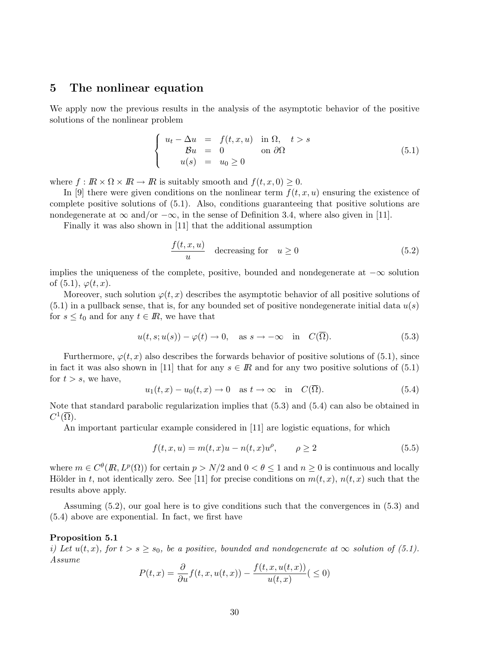### 5 The nonlinear equation

We apply now the previous results in the analysis of the asymptotic behavior of the positive solutions of the nonlinear problem

$$
\begin{cases}\n u_t - \Delta u = f(t, x, u) & \text{in } \Omega, \quad t > s \\
 \mathcal{B}u = 0 & \text{on } \partial\Omega\n\end{cases}
$$
\n(5.1)

where  $f: \mathbb{R} \times \Omega \times \mathbb{R} \to \mathbb{R}$  is suitably smooth and  $f(t, x, 0) \geq 0$ .

In [9] there were given conditions on the nonlinear term  $f(t, x, u)$  ensuring the existence of complete positive solutions of (5.1). Also, conditions guaranteeing that positive solutions are nondegenerate at  $\infty$  and/or  $-\infty$ , in the sense of Definition 3.4, where also given in [11].

Finally it was also shown in [11] that the additional assumption

$$
\frac{f(t, x, u)}{u} \quad \text{decreasing for} \quad u \ge 0 \tag{5.2}
$$

implies the uniqueness of the complete, positive, bounded and nondegenerate at  $-\infty$  solution of  $(5.1), \varphi(t, x)$ .

Moreover, such solution  $\varphi(t, x)$  describes the asymptotic behavior of all positive solutions of  $(5.1)$  in a pullback sense, that is, for any bounded set of positive nondegenerate initial data  $u(s)$ for  $s \leq t_0$  and for any  $t \in \mathbb{R}$ , we have that

$$
u(t,s;u(s)) - \varphi(t) \to 0, \quad \text{as } s \to -\infty \quad \text{in} \quad C(\overline{\Omega}). \tag{5.3}
$$

Furthermore,  $\varphi(t, x)$  also describes the forwards behavior of positive solutions of (5.1), since in fact it was also shown in [11] that for any  $s \in \mathbb{R}$  and for any two positive solutions of (5.1) for  $t > s$ , we have,

$$
u_1(t,x) - u_0(t,x) \to 0 \quad \text{as } t \to \infty \quad \text{in} \quad C(\overline{\Omega}). \tag{5.4}
$$

Note that standard parabolic regularization implies that (5.3) and (5.4) can also be obtained in  $C^1(\overline{\Omega}).$ 

An important particular example considered in [11] are logistic equations, for which

$$
f(t, x, u) = m(t, x)u - n(t, x)u^{\rho}, \qquad \rho \ge 2
$$
\n(5.5)

where  $m \in C^{\theta}(R, L^p(\Omega))$  for certain  $p > N/2$  and  $0 < \theta \leq 1$  and  $n \geq 0$  is continuous and locally Hölder in t, not identically zero. See [11] for precise conditions on  $m(t, x)$ ,  $n(t, x)$  such that the results above apply.

Assuming (5.2), our goal here is to give conditions such that the convergences in (5.3) and (5.4) above are exponential. In fact, we first have

### Proposition 5.1

i) Let  $u(t, x)$ , for  $t > s \geq s_0$ , be a positive, bounded and nondegenerate at  $\infty$  solution of (5.1). Assume

$$
P(t,x) = \frac{\partial}{\partial u} f(t,x, u(t,x)) - \frac{f(t,x, u(t,x))}{u(t,x)} \quad ( \le 0)
$$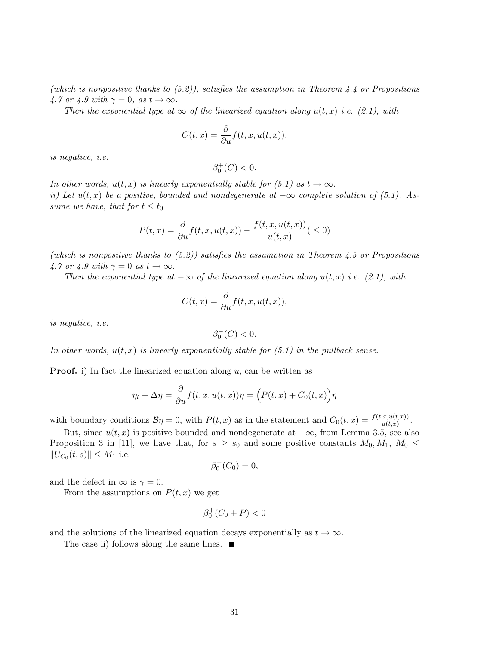(which is nonpositive thanks to  $(5.2)$ ), satisfies the assumption in Theorem 4.4 or Propositions 4.7 or 4.9 with  $\gamma = 0$ , as  $t \to \infty$ .

Then the exponential type at  $\infty$  of the linearized equation along  $u(t, x)$  i.e. (2.1), with

$$
C(t,x) = \frac{\partial}{\partial u} f(t,x,u(t,x)),
$$

is negative, i.e.

$$
\beta_0^+(C) < 0.
$$

In other words,  $u(t, x)$  is linearly exponentially stable for (5.1) as  $t \to \infty$ . ii) Let  $u(t, x)$  be a positive, bounded and nondegenerate at  $-\infty$  complete solution of (5.1). Assume we have, that for  $t \leq t_0$ 

$$
P(t,x) = \frac{\partial}{\partial u} f(t,x, u(t,x)) - \frac{f(t,x, u(t,x))}{u(t,x)} \quad ( \le 0)
$$

(which is nonpositive thanks to  $(5.2)$ ) satisfies the assumption in Theorem 4.5 or Propositions 4.7 or 4.9 with  $\gamma = 0$  as  $t \to \infty$ .

Then the exponential type at  $-\infty$  of the linearized equation along  $u(t, x)$  i.e. (2.1), with

$$
C(t,x) = \frac{\partial}{\partial u} f(t,x,u(t,x)),
$$

is negative, i.e.

$$
\beta_0^-(C) < 0.
$$

In other words,  $u(t, x)$  is linearly exponentially stable for  $(5.1)$  in the pullback sense.

**Proof.** i) In fact the linearized equation along  $u$ , can be written as

$$
\eta_t - \Delta \eta = \frac{\partial}{\partial u} f(t, x, u(t, x)) \eta = \left( P(t, x) + C_0(t, x) \right) \eta
$$

with boundary conditions  $\mathcal{B}\eta = 0$ , with  $P(t, x)$  as in the statement and  $C_0(t, x) = \frac{f(t, x, u(t, x))}{u(t, x)}$ .

But, since  $u(t, x)$  is positive bounded and nondegenerate at  $+\infty$ , from Lemma 3.5, see also Proposition 3 in [11], we have that, for  $s \geq s_0$  and some positive constants  $M_0, M_1, M_0 \leq$  $||U_{C_0}(t, s)|| \leq M_1$  i.e.

$$
\beta_0^+(C_0)=0,
$$

and the defect in  $\infty$  is  $\gamma = 0$ .

From the assumptions on  $P(t, x)$  we get

$$
\beta_0^+(C_0+P)<0
$$

and the solutions of the linearized equation decays exponentially as  $t \to \infty$ .

The case ii) follows along the same lines.  $\blacksquare$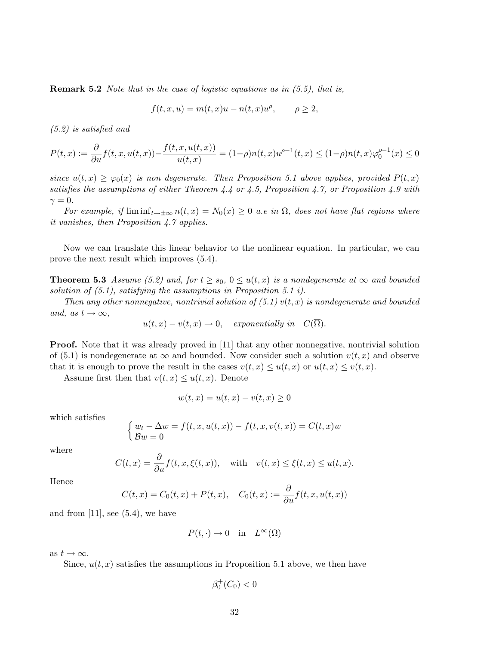**Remark 5.2** Note that in the case of logistic equations as in  $(5.5)$ , that is,

$$
f(t, x, u) = m(t, x)u - n(t, x)u^{\rho}, \qquad \rho \ge 2,
$$

(5.2) is satisfied and

$$
P(t,x) := \frac{\partial}{\partial u} f(t,x,u(t,x)) - \frac{f(t,x,u(t,x))}{u(t,x)} = (1-\rho)n(t,x)u^{\rho-1}(t,x) \le (1-\rho)n(t,x)\varphi_0^{\rho-1}(x) \le 0
$$

since  $u(t, x) \geq \varphi_0(x)$  is non degenerate. Then Proposition 5.1 above applies, provided  $P(t, x)$ satisfies the assumptions of either Theorem 4.4 or 4.5, Proposition 4.7, or Proposition 4.9 with  $\gamma = 0$ .

For example, if  $\liminf_{t\to\pm\infty} n(t,x) = N_0(x) \geq 0$  a.e in  $\Omega$ , does not have flat regions where it vanishes, then Proposition 4.7 applies.

Now we can translate this linear behavior to the nonlinear equation. In particular, we can prove the next result which improves (5.4).

**Theorem 5.3** Assume (5.2) and, for  $t \geq s_0$ ,  $0 \leq u(t, x)$  is a nondegenerate at  $\infty$  and bounded solution of  $(5.1)$ , satisfying the assumptions in Proposition 5.1 i).

Then any other nonnegative, nontrivial solution of  $(5.1)$  v(t, x) is nondegenerate and bounded and, as  $t \to \infty$ ,

$$
u(t,x) - v(t,x) \to 0
$$
, exponentially in  $C(\overline{\Omega})$ .

**Proof.** Note that it was already proved in [11] that any other nonnegative, nontrivial solution of (5.1) is nondegenerate at  $\infty$  and bounded. Now consider such a solution  $v(t, x)$  and observe that it is enough to prove the result in the cases  $v(t, x) \leq u(t, x)$  or  $u(t, x) \leq v(t, x)$ .

Assume first then that  $v(t, x) \leq u(t, x)$ . Denote

$$
w(t,x) = u(t,x) - v(t,x) \ge 0
$$

which satisfies

$$
\begin{cases} w_t - \Delta w = f(t, x, u(t, x)) - f(t, x, v(t, x)) = C(t, x)w \\ Bw = 0 \end{cases}
$$

where

$$
C(t,x) = \frac{\partial}{\partial u} f(t,x,\xi(t,x)), \quad \text{with} \quad v(t,x) \le \xi(t,x) \le u(t,x).
$$

Hence

$$
C(t,x) = C_0(t,x) + P(t,x), \quad C_0(t,x) := \frac{\partial}{\partial u} f(t,x,u(t,x))
$$

and from  $[11]$ , see  $(5.4)$ , we have

$$
P(t, \cdot) \to 0 \quad \text{in} \quad L^{\infty}(\Omega)
$$

as  $t \to \infty$ .

Since,  $u(t, x)$  satisfies the assumptions in Proposition 5.1 above, we then have

$$
\beta_0^+(C_0) < 0
$$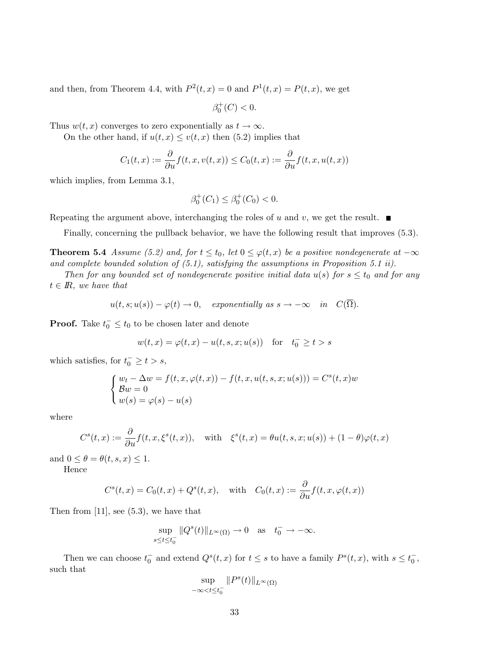and then, from Theorem 4.4, with  $P^2(t, x) = 0$  and  $P^1(t, x) = P(t, x)$ , we get

 $\beta_0^+(C) < 0.$ 

Thus  $w(t, x)$  converges to zero exponentially as  $t \to \infty$ .

On the other hand, if  $u(t, x) \leq v(t, x)$  then (5.2) implies that

$$
C_1(t,x) := \frac{\partial}{\partial u} f(t,x,v(t,x)) \le C_0(t,x) := \frac{\partial}{\partial u} f(t,x,u(t,x))
$$

which implies, from Lemma 3.1,

$$
\beta_0^+(C_1) \le \beta_0^+(C_0) < 0.
$$

Repeating the argument above, interchanging the roles of u and v, we get the result.  $\blacksquare$ 

Finally, concerning the pullback behavior, we have the following result that improves (5.3).

**Theorem 5.4** Assume (5.2) and, for  $t \le t_0$ , let  $0 \le \varphi(t, x)$  be a positive nondegenerate at  $-\infty$ and complete bounded solution of (5.1), satisfying the assumptions in Proposition 5.1 ii).

Then for any bounded set of nondegenerate positive initial data  $u(s)$  for  $s \le t_0$  and for any  $t \in \mathbb{R}$ , we have that

$$
u(t, s; u(s)) - \varphi(t) \to 0
$$
, *exponentially as*  $s \to -\infty$  *in*  $C(\Omega)$ .

**Proof.** Take  $t_0 \text{ } \leq t_0$  to be chosen later and denote

$$
w(t, x) = \varphi(t, x) - u(t, s, x; u(s))
$$
 for  $t_0^{-} \ge t > s$ 

which satisfies, for  $t_0^- \ge t > s$ ,

$$
\begin{cases}\nw_t - \Delta w = f(t, x, \varphi(t, x)) - f(t, x, u(t, s, x; u(s))) = C^s(t, x)w \\
\mathcal{B}w = 0 \\
w(s) = \varphi(s) - u(s)\n\end{cases}
$$

where

$$
C^{s}(t,x) := \frac{\partial}{\partial u} f(t,x,\xi^{s}(t,x)), \quad \text{with} \quad \xi^{s}(t,x) = \theta u(t,s,x;u(s)) + (1-\theta)\varphi(t,x)
$$

and  $0 \leq \theta = \theta(t, s, x) \leq 1$ .

Hence

$$
C^{s}(t,x) = C_{0}(t,x) + Q^{s}(t,x), \text{ with } C_{0}(t,x) := \frac{\partial}{\partial u} f(t,x,\varphi(t,x))
$$

Then from  $[11]$ , see  $(5.3)$ , we have that

$$
\sup_{s\leq t\leq t_0^-}\|Q^s(t)\|_{L^\infty(\Omega)}\to 0 \quad \text{as} \quad t_0^-\to -\infty.
$$

Then we can choose  $t_0^-$  and extend  $Q^s(t,x)$  for  $t \leq s$  to have a family  $P^s(t,x)$ , with  $s \leq t_0^-$ , such that

$$
\sup_{-\infty < t \leq t_0^-} \|P^s(t)\|_{L^\infty(\Omega)}
$$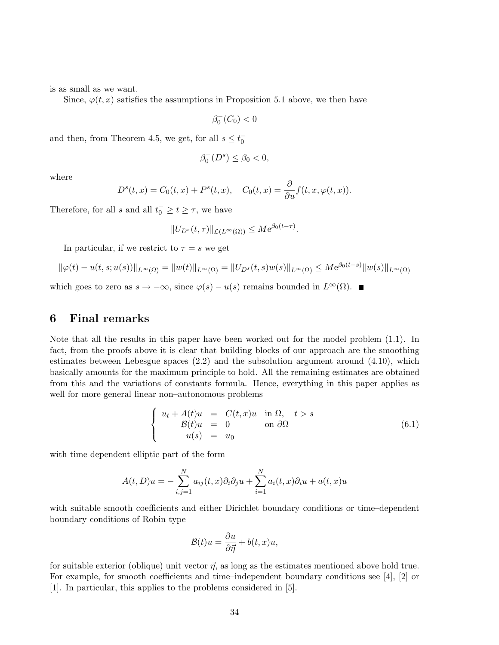is as small as we want.

Since,  $\varphi(t, x)$  satisfies the assumptions in Proposition 5.1 above, we then have

$$
\beta_0^-(C_0) < 0
$$

and then, from Theorem 4.5, we get, for all  $s \leq t_0^-$ 

$$
\beta_0^-(D^s)\leq \beta_0<0,
$$

where

$$
D^{s}(t,x) = C_0(t,x) + P^{s}(t,x), \quad C_0(t,x) = \frac{\partial}{\partial u} f(t,x,\varphi(t,x)).
$$

Therefore, for all s and all  $t_0^- \geq t \geq \tau$ , we have

$$
||U_{D^s}(t,\tau)||_{\mathcal{L}(L^{\infty}(\Omega))} \leq M e^{\beta_0(t-\tau)}.
$$

In particular, if we restrict to  $\tau = s$  we get

$$
\|\varphi(t) - u(t, s; u(s))\|_{L^{\infty}(\Omega)} = \|w(t)\|_{L^{\infty}(\Omega)} = \|U_{D^s}(t, s)w(s)\|_{L^{\infty}(\Omega)} \leq M e^{\beta_0(t-s)} \|w(s)\|_{L^{\infty}(\Omega)}
$$

which goes to zero as  $s \to -\infty$ , since  $\varphi(s) - u(s)$  remains bounded in  $L^{\infty}(\Omega)$ .

# 6 Final remarks

Note that all the results in this paper have been worked out for the model problem (1.1). In fact, from the proofs above it is clear that building blocks of our approach are the smoothing estimates between Lebesgue spaces (2.2) and the subsolution argument around (4.10), which basically amounts for the maximum principle to hold. All the remaining estimates are obtained from this and the variations of constants formula. Hence, everything in this paper applies as well for more general linear non–autonomous problems

$$
\begin{cases}\n u_t + A(t)u &= C(t, x)u \text{ in } \Omega, \quad t > s \\
 \mathcal{B}(t)u &= 0 \text{ on } \partial\Omega \\
 u(s) &= u_0\n\end{cases}
$$
\n(6.1)

with time dependent elliptic part of the form

$$
A(t, D)u = -\sum_{i,j=1}^{N} a_{ij}(t, x)\partial_i\partial_j u + \sum_{i=1}^{N} a_i(t, x)\partial_i u + a(t, x)u
$$

with suitable smooth coefficients and either Dirichlet boundary conditions or time–dependent boundary conditions of Robin type

$$
\mathcal{B}(t)u = \frac{\partial u}{\partial \vec{\eta}} + b(t, x)u,
$$

for suitable exterior (oblique) unit vector  $\vec{\eta}$ , as long as the estimates mentioned above hold true. For example, for smooth coefficients and time–independent boundary conditions see [4], [2] or [1]. In particular, this applies to the problems considered in [5].